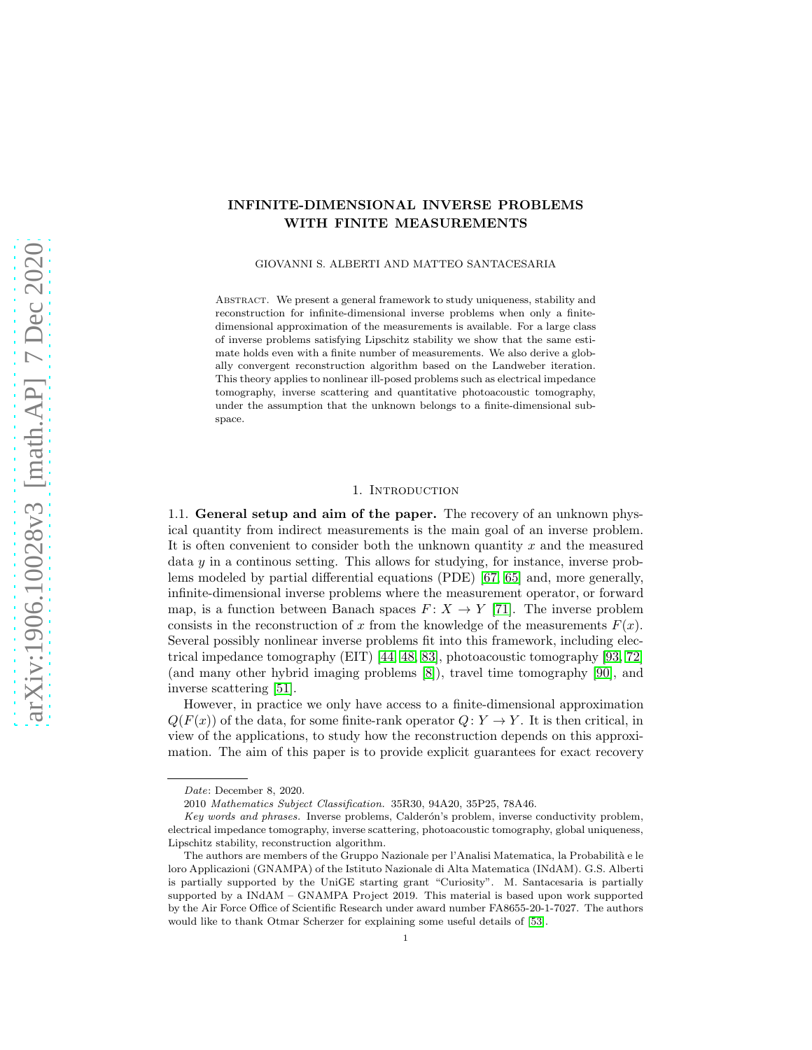# INFINITE-DIMENSIONAL INVERSE PROBLEMS WITH FINITE MEASUREMENTS

GIOVANNI S. ALBERTI AND MATTEO SANTACESARIA

ABSTRACT. We present a general framework to study uniqueness, stability and reconstruction for infinite-dimensional inverse problems when only a finitedimensional approximation of the measurements is available. For a large class of inverse problems satisfying Lipschitz stability we show that the same estimate holds even with a finite number of measurements. We also derive a globally convergent reconstruction algorithm based on the Landweber iteration. This theory applies to nonlinear ill-posed problems such as electrical impedance tomography, inverse scattering and quantitative photoacoustic tomography, under the assumption that the unknown belongs to a finite-dimensional subspace.

## 1. INTRODUCTION

1.1. General setup and aim of the paper. The recovery of an unknown physical quantity from indirect measurements is the main goal of an inverse problem. It is often convenient to consider both the unknown quantity  $x$  and the measured data y in a continous setting. This allows for studying, for instance, inverse problems modeled by partial differential equations (PDE) [\[67,](#page-23-0) [65\]](#page-23-1) and, more generally, infinite-dimensional inverse problems where the measurement operator, or forward map, is a function between Banach spaces  $F: X \to Y$  [\[71\]](#page-23-2). The inverse problem consists in the reconstruction of x from the knowledge of the measurements  $F(x)$ . Several possibly nonlinear inverse problems fit into this framework, including electrical impedance tomography (EIT) [\[44,](#page-22-0) [48,](#page-22-1) [83\]](#page-24-0), photoacoustic tomography [\[93,](#page-24-1) [72\]](#page-23-3) (and many other hybrid imaging problems [\[8\]](#page-20-0)), travel time tomography [\[90\]](#page-24-2), and inverse scattering [\[51\]](#page-22-2).

However, in practice we only have access to a finite-dimensional approximation  $Q(F(x))$  of the data, for some finite-rank operator  $Q: Y \to Y$ . It is then critical, in view of the applications, to study how the reconstruction depends on this approximation. The aim of this paper is to provide explicit guarantees for exact recovery

Date: December 8, 2020.

<sup>2010</sup> Mathematics Subject Classification. 35R30, 94A20, 35P25, 78A46.

Key words and phrases. Inverse problems, Calderón's problem, inverse conductivity problem, electrical impedance tomography, inverse scattering, photoacoustic tomography, global uniqueness, Lipschitz stability, reconstruction algorithm.

The authors are members of the Gruppo Nazionale per l'Analisi Matematica, la Probabilità e le loro Applicazioni (GNAMPA) of the Istituto Nazionale di Alta Matematica (INdAM). G.S. Alberti is partially supported by the UniGE starting grant "Curiosity". M. Santacesaria is partially supported by a INdAM – GNAMPA Project 2019. This material is based upon work supported by the Air Force Office of Scientific Research under award number FA8655-20-1-7027. The authors would like to thank Otmar Scherzer for explaining some useful details of [\[53\]](#page-22-3).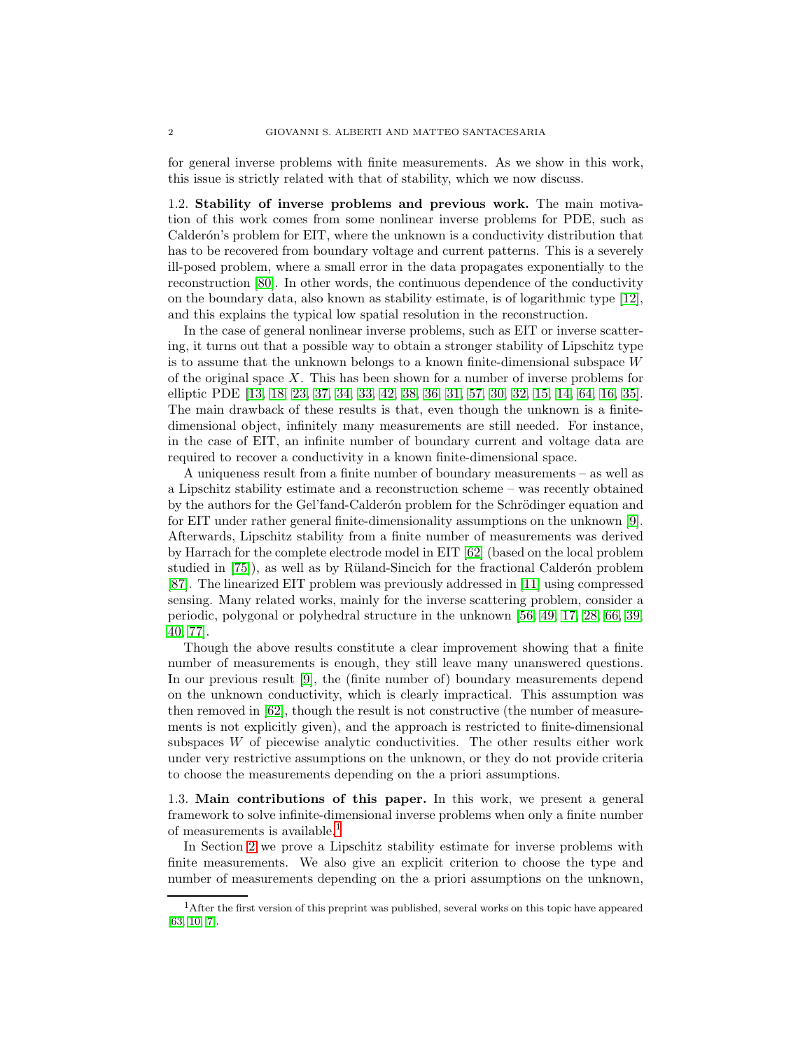for general inverse problems with finite measurements. As we show in this work, this issue is strictly related with that of stability, which we now discuss.

1.2. Stability of inverse problems and previous work. The main motivation of this work comes from some nonlinear inverse problems for PDE, such as Calderón's problem for EIT, where the unknown is a conductivity distribution that has to be recovered from boundary voltage and current patterns. This is a severely ill-posed problem, where a small error in the data propagates exponentially to the reconstruction [\[80\]](#page-24-3). In other words, the continuous dependence of the conductivity on the boundary data, also known as stability estimate, is of logarithmic type [\[12\]](#page-20-1), and this explains the typical low spatial resolution in the reconstruction.

In the case of general nonlinear inverse problems, such as EIT or inverse scattering, it turns out that a possible way to obtain a stronger stability of Lipschitz type is to assume that the unknown belongs to a known finite-dimensional subspace W of the original space  $X$ . This has been shown for a number of inverse problems for elliptic PDE [\[13,](#page-20-2) [18,](#page-21-0) [23,](#page-21-1) [37,](#page-22-4) [34,](#page-21-2) [33,](#page-21-3) [42,](#page-22-5) [38,](#page-22-6) [36,](#page-22-7) [31,](#page-21-4) [57,](#page-23-4) [30,](#page-21-5) [32,](#page-21-6) [15,](#page-21-7) [14,](#page-20-3) [64,](#page-23-5) [16,](#page-21-8) [35\]](#page-22-8). The main drawback of these results is that, even though the unknown is a finitedimensional object, infinitely many measurements are still needed. For instance, in the case of EIT, an infinite number of boundary current and voltage data are required to recover a conductivity in a known finite-dimensional space.

A uniqueness result from a finite number of boundary measurements – as well as a Lipschitz stability estimate and a reconstruction scheme – was recently obtained by the authors for the Gel'fand-Calderon problem for the Schrödinger equation and for EIT under rather general finite-dimensionality assumptions on the unknown [\[9\]](#page-20-4). Afterwards, Lipschitz stability from a finite number of measurements was derived by Harrach for the complete electrode model in EIT [\[62\]](#page-23-6) (based on the local problem studied in  $[75]$ , as well as by Rüland-Sincich for the fractional Calderón problem [\[87\]](#page-24-5). The linearized EIT problem was previously addressed in [\[11\]](#page-20-5) using compressed sensing. Many related works, mainly for the inverse scattering problem, consider a periodic, polygonal or polyhedral structure in the unknown [\[56,](#page-23-7) [49,](#page-22-9) [17,](#page-21-9) [28,](#page-21-10) [66,](#page-23-8) [39,](#page-22-10) [40,](#page-22-11) [77\]](#page-24-6).

Though the above results constitute a clear improvement showing that a finite number of measurements is enough, they still leave many unanswered questions. In our previous result [\[9\]](#page-20-4), the (finite number of) boundary measurements depend on the unknown conductivity, which is clearly impractical. This assumption was then removed in [\[62\]](#page-23-6), though the result is not constructive (the number of measurements is not explicitly given), and the approach is restricted to finite-dimensional subspaces  $W$  of piecewise analytic conductivities. The other results either work under very restrictive assumptions on the unknown, or they do not provide criteria to choose the measurements depending on the a priori assumptions.

1.3. Main contributions of this paper. In this work, we present a general framework to solve infinite-dimensional inverse problems when only a finite number of measurements is available.[1](#page-1-0)

In Section [2](#page-2-0) we prove a Lipschitz stability estimate for inverse problems with finite measurements. We also give an explicit criterion to choose the type and number of measurements depending on the a priori assumptions on the unknown,

<span id="page-1-0"></span><sup>&</sup>lt;sup>1</sup>After the first version of this preprint was published, several works on this topic have appeared [\[63,](#page-23-9) [10,](#page-20-6) [7\]](#page-20-7).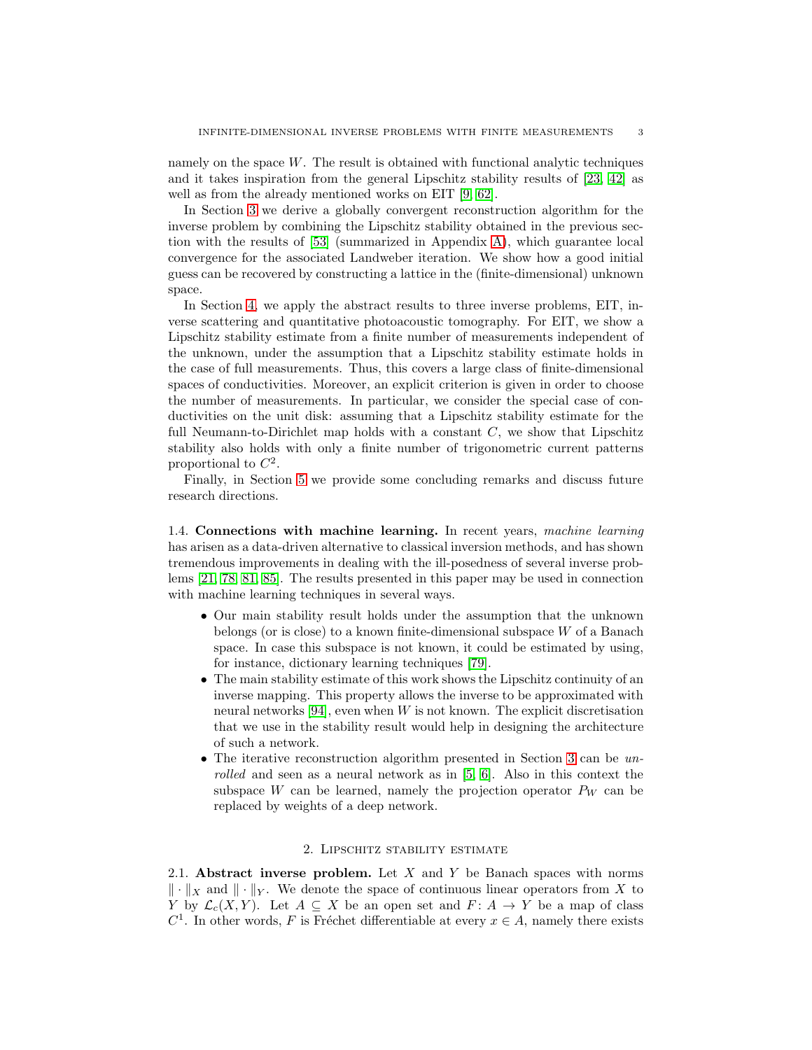namely on the space  $W$ . The result is obtained with functional analytic techniques and it takes inspiration from the general Lipschitz stability results of [\[23,](#page-21-1) [42\]](#page-22-5) as well as from the already mentioned works on EIT [\[9,](#page-20-4) [62\]](#page-23-6).

In Section [3](#page-9-0) we derive a globally convergent reconstruction algorithm for the inverse problem by combining the Lipschitz stability obtained in the previous section with the results of [\[53\]](#page-22-3) (summarized in Appendix [A\)](#page-25-0), which guarantee local convergence for the associated Landweber iteration. We show how a good initial guess can be recovered by constructing a lattice in the (finite-dimensional) unknown space.

In Section [4,](#page-10-0) we apply the abstract results to three inverse problems, EIT, inverse scattering and quantitative photoacoustic tomography. For EIT, we show a Lipschitz stability estimate from a finite number of measurements independent of the unknown, under the assumption that a Lipschitz stability estimate holds in the case of full measurements. Thus, this covers a large class of finite-dimensional spaces of conductivities. Moreover, an explicit criterion is given in order to choose the number of measurements. In particular, we consider the special case of conductivities on the unit disk: assuming that a Lipschitz stability estimate for the full Neumann-to-Dirichlet map holds with a constant  $C$ , we show that Lipschitz stability also holds with only a finite number of trigonometric current patterns proportional to  $C^2$ .

Finally, in Section [5](#page-19-0) we provide some concluding remarks and discuss future research directions.

1.4. Connections with machine learning. In recent years, machine learning has arisen as a data-driven alternative to classical inversion methods, and has shown tremendous improvements in dealing with the ill-posedness of several inverse problems [\[21,](#page-21-11) [78,](#page-24-7) [81,](#page-24-8) [85\]](#page-24-9). The results presented in this paper may be used in connection with machine learning techniques in several ways.

- Our main stability result holds under the assumption that the unknown belongs (or is close) to a known finite-dimensional subspace W of a Banach space. In case this subspace is not known, it could be estimated by using, for instance, dictionary learning techniques [\[79\]](#page-24-10).
- The main stability estimate of this work shows the Lipschitz continuity of an inverse mapping. This property allows the inverse to be approximated with neural networks [\[94\]](#page-24-11), even when  $W$  is not known. The explicit discretisation that we use in the stability result would help in designing the architecture of such a network.
- The iterative reconstruction algorithm presented in Section [3](#page-9-0) can be unrolled and seen as a neural network as in [\[5,](#page-20-8) [6\]](#page-20-9). Also in this context the subspace W can be learned, namely the projection operator  $P_W$  can be replaced by weights of a deep network.

## 2. Lipschitz stability estimate

<span id="page-2-0"></span>2.1. Abstract inverse problem. Let  $X$  and  $Y$  be Banach spaces with norms  $\|\cdot\|_X$  and  $\|\cdot\|_Y$ . We denote the space of continuous linear operators from X to Y by  $\mathcal{L}_c(X, Y)$ . Let  $A \subseteq X$  be an open set and  $F: A \to Y$  be a map of class  $C<sup>1</sup>$ . In other words, F is Fréchet differentiable at every  $x \in A$ , namely there exists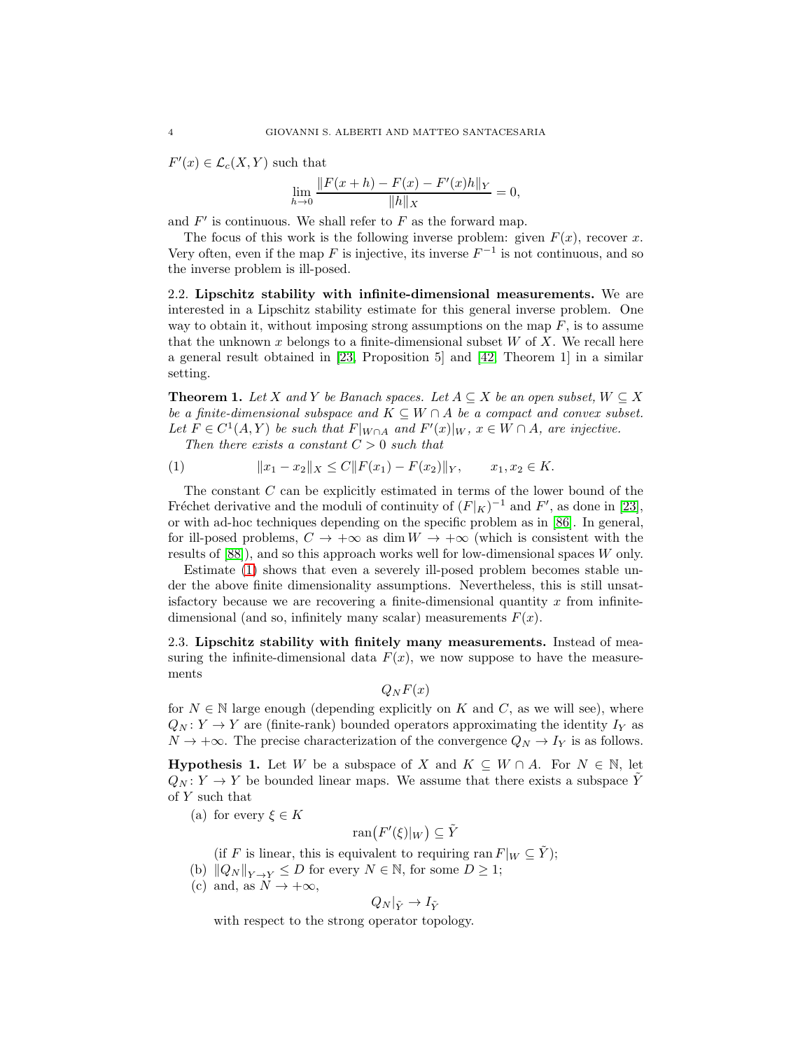$F'(x) \in \mathcal{L}_c(X, Y)$  such that

$$
\lim_{h \to 0} \frac{\|F(x+h) - F(x) - F'(x)h\|_Y}{\|h\|_X} = 0,
$$

and  $F'$  is continuous. We shall refer to  $F$  as the forward map.

The focus of this work is the following inverse problem: given  $F(x)$ , recover x. Very often, even if the map F is injective, its inverse  $F^{-1}$  is not continuous, and so the inverse problem is ill-posed.

2.2. Lipschitz stability with infinite-dimensional measurements. We are interested in a Lipschitz stability estimate for this general inverse problem. One way to obtain it, without imposing strong assumptions on the map  $F$ , is to assume that the unknown  $x$  belongs to a finite-dimensional subset  $W$  of  $X$ . We recall here a general result obtained in [\[23,](#page-21-1) Proposition 5] and [\[42,](#page-22-5) Theorem 1] in a similar setting.

<span id="page-3-5"></span>**Theorem 1.** Let X and Y be Banach spaces. Let  $A \subseteq X$  be an open subset,  $W \subseteq X$ be a finite-dimensional subspace and  $K \subseteq W \cap A$  be a compact and convex subset. Let  $F \in C^1(A, Y)$  be such that  $F|_{W \cap A}$  and  $F'(x)|_W$ ,  $x \in W \cap A$ , are injective.

<span id="page-3-0"></span>Then there exists a constant  $C > 0$  such that

$$
(1) \t\t\t ||x_1 - x_2||_X \le C||F(x_1) - F(x_2)||_Y, \t x_1, x_2 \in K.
$$

The constant  $C$  can be explicitly estimated in terms of the lower bound of the Fréchet derivative and the moduli of continuity of  $(F|_K)^{-1}$  and  $F'$ , as done in [\[23\]](#page-21-1), or with ad-hoc techniques depending on the specific problem as in [\[86\]](#page-24-12). In general, for ill-posed problems,  $C \to +\infty$  as dim  $W \to +\infty$  (which is consistent with the results of [\[88\]](#page-24-13)), and so this approach works well for low-dimensional spaces W only.

Estimate [\(1\)](#page-3-0) shows that even a severely ill-posed problem becomes stable under the above finite dimensionality assumptions. Nevertheless, this is still unsatisfactory because we are recovering a finite-dimensional quantity  $x$  from infinitedimensional (and so, infinitely many scalar) measurements  $F(x)$ .

2.3. Lipschitz stability with finitely many measurements. Instead of measuring the infinite-dimensional data  $F(x)$ , we now suppose to have the measurements

 $Q_N F(x)$ 

for  $N \in \mathbb{N}$  large enough (depending explicitly on K and C, as we will see), where  $Q_N: Y \to Y$  are (finite-rank) bounded operators approximating the identity  $I_Y$  as  $N \to +\infty$ . The precise characterization of the convergence  $Q_N \to I_Y$  is as follows.

<span id="page-3-1"></span>**Hypothesis 1.** Let W be a subspace of X and  $K \subseteq W \cap A$ . For  $N \in \mathbb{N}$ , let  $Q_N: Y \to Y$  be bounded linear maps. We assume that there exists a subspace Y of Y such that

<span id="page-3-2"></span>(a) for every  $\xi \in K$ 

$$
\operatorname{ran}(F'(\xi)|_W) \subseteq \tilde{Y}
$$

(if F is linear, this is equivalent to requiring ran  $F|_W \subseteq Y$ );

- <span id="page-3-4"></span><span id="page-3-3"></span>(b)  $||Q_N||_{Y\to Y} \leq D$  for every  $N \in \mathbb{N}$ , for some  $D \geq 1$ ;
- (c) and, as  $N \to +\infty$ ,

$$
Q_N|_{\tilde{Y}} \to I_{\tilde{Y}}
$$

with respect to the strong operator topology.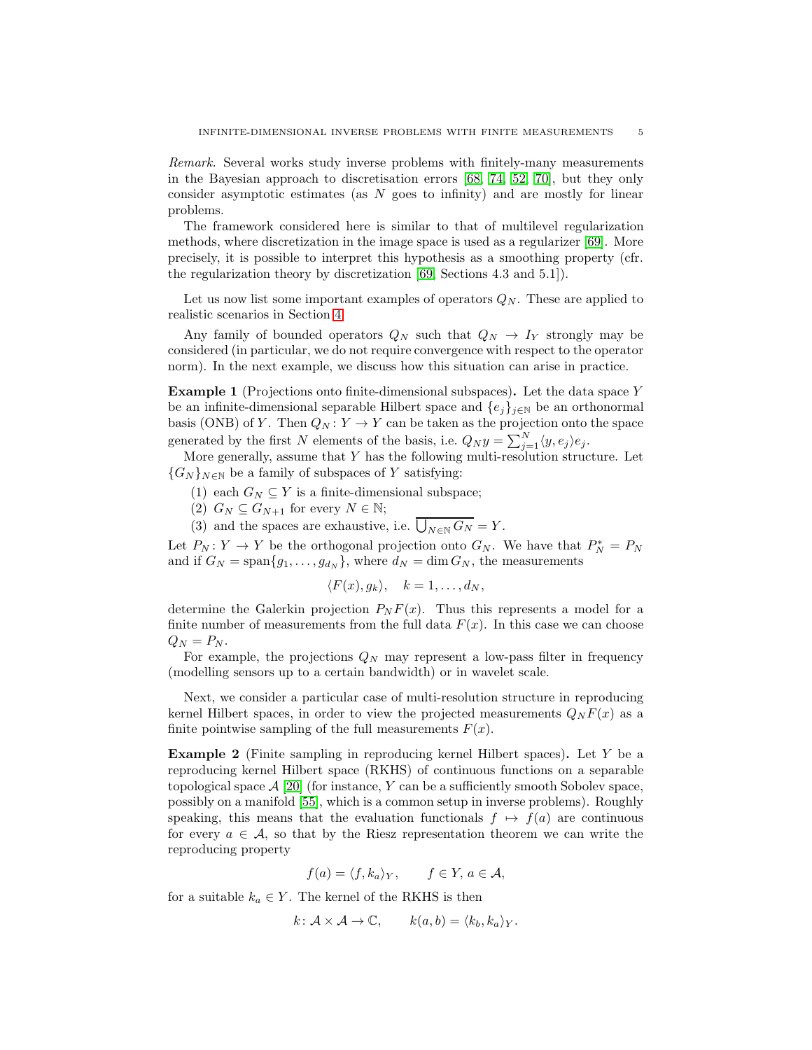Remark. Several works study inverse problems with finitely-many measurements in the Bayesian approach to discretisation errors [\[68,](#page-23-10) [74,](#page-23-11) [52,](#page-22-12) [70\]](#page-23-12), but they only consider asymptotic estimates (as N goes to infinity) and are mostly for linear problems.

The framework considered here is similar to that of multilevel regularization methods, where discretization in the image space is used as a regularizer [\[69\]](#page-23-13). More precisely, it is possible to interpret this hypothesis as a smoothing property (cfr. the regularization theory by discretization [\[69,](#page-23-13) Sections 4.3 and 5.1]).

Let us now list some important examples of operators  $Q_N$ . These are applied to realistic scenarios in Section [4.](#page-10-0)

Any family of bounded operators  $Q_N$  such that  $Q_N \rightarrow I_Y$  strongly may be considered (in particular, we do not require convergence with respect to the operator norm). In the next example, we discuss how this situation can arise in practice.

<span id="page-4-0"></span>Example 1 (Projections onto finite-dimensional subspaces). Let the data space Y be an infinite-dimensional separable Hilbert space and  $\{e_j\}_{j\in\mathbb{N}}$  be an orthonormal basis (ONB) of Y. Then  $Q_N: Y \to Y$  can be taken as the projection onto the space generated by the first N elements of the basis, i.e.  $Q_N y = \sum_{j=1}^N \langle y, e_j \rangle e_j$ .

More generally, assume that  $Y$  has the following multi-resolution structure. Let  ${G_N}_{N\in\mathbb{N}}$  be a family of subspaces of Y satisfying:

- (1) each  $G_N \subseteq Y$  is a finite-dimensional subspace;
- (2)  $G_N \subseteq G_{N+1}$  for every  $N \in \mathbb{N}$ ;
- (3) and the spaces are exhaustive, i.e.  $\bigcup_{N\in\mathbb{N}} G_N = Y$ .

Let  $P_N: Y \to Y$  be the orthogonal projection onto  $G_N$ . We have that  $P_N^* = P_N$ and if  $G_N = \text{span}\{g_1, \ldots, g_{d_N}\}\$ , where  $d_N = \dim G_N$ , the measurements

$$
\langle F(x), g_k \rangle, \quad k = 1, \dots, d_N,
$$

determine the Galerkin projection  $P_N F(x)$ . Thus this represents a model for a finite number of measurements from the full data  $F(x)$ . In this case we can choose  $Q_N = P_N$ .

For example, the projections  $Q_N$  may represent a low-pass filter in frequency (modelling sensors up to a certain bandwidth) or in wavelet scale.

Next, we consider a particular case of multi-resolution structure in reproducing kernel Hilbert spaces, in order to view the projected measurements  $Q_N F(x)$  as a finite pointwise sampling of the full measurements  $F(x)$ .

<span id="page-4-1"></span>Example 2 (Finite sampling in reproducing kernel Hilbert spaces). Let Y be a reproducing kernel Hilbert space (RKHS) of continuous functions on a separable topological space  $\mathcal{A}$  [\[20\]](#page-21-12) (for instance, Y can be a sufficiently smooth Sobolev space, possibly on a manifold [\[55\]](#page-23-14), which is a common setup in inverse problems). Roughly speaking, this means that the evaluation functionals  $f \mapsto f(a)$  are continuous for every  $a \in \mathcal{A}$ , so that by the Riesz representation theorem we can write the reproducing property

$$
f(a) = \langle f, k_a \rangle_Y, \qquad f \in Y, a \in \mathcal{A},
$$

for a suitable  $k_a \in Y$ . The kernel of the RKHS is then

$$
k: \mathcal{A} \times \mathcal{A} \to \mathbb{C}, \qquad k(a, b) = \langle k_b, k_a \rangle_Y.
$$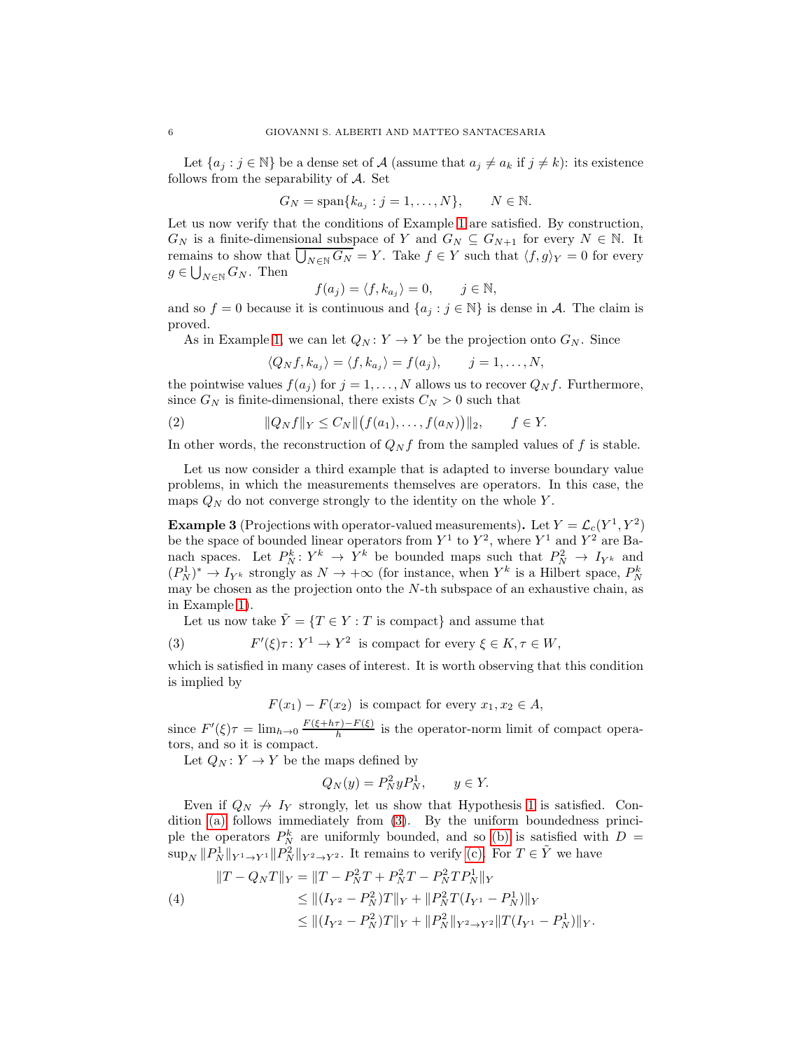Let  $\{a_j : j \in \mathbb{N}\}\$ be a dense set of A (assume that  $a_j \neq a_k$  if  $j \neq k$ ): its existence follows from the separability of  $A$ . Set

$$
G_N = \text{span}\{k_{a_j} : j = 1, \dots, N\}, \qquad N \in \mathbb{N}.
$$

Let us now verify that the conditions of Example [1](#page-4-0) are satisfied. By construction,  $G_N$  is a finite-dimensional subspace of Y and  $G_N \subseteq G_{N+1}$  for every  $N \in \mathbb{N}$ . It remains to show that  $\bigcup_{N\in\mathbb{N}} G_N = Y$ . Take  $f \in Y$  such that  $\langle f, g \rangle_Y = 0$  for every  $g \in \bigcup_{N \in \mathbb{N}} G_N$ . Then

$$
f(a_j) = \langle f, k_{a_j} \rangle = 0, \quad j \in \mathbb{N},
$$

and so  $f = 0$  because it is continuous and  $\{a_j : j \in \mathbb{N}\}\$ is dense in A. The claim is proved.

As in Example [1,](#page-4-0) we can let  $Q_N: Y \to Y$  be the projection onto  $G_N$ . Since

<span id="page-5-3"></span>
$$
\langle Q_N f, k_{a_j} \rangle = \langle f, k_{a_j} \rangle = f(a_j), \qquad j = 1, \dots, N,
$$

the pointwise values  $f(a_j)$  for  $j = 1, ..., N$  allows us to recover  $Q_N f$ . Furthermore, since  $G_N$  is finite-dimensional, there exists  $C_N > 0$  such that

(2) 
$$
||Q_N f||_Y \le C_N ||(f(a_1),...,f(a_N))||_2, \quad f \in Y.
$$

In other words, the reconstruction of  $Q_N f$  from the sampled values of f is stable.

Let us now consider a third example that is adapted to inverse boundary value problems, in which the measurements themselves are operators. In this case, the maps  $Q_N$  do not converge strongly to the identity on the whole Y.

<span id="page-5-1"></span>**Example 3** (Projections with operator-valued measurements). Let  $Y = \mathcal{L}_c(Y^1, Y^2)$ be the space of bounded linear operators from  $Y^1$  to  $Y^2$ , where  $Y^1$  and  $Y^2$  are Banach spaces. Let  $P_N^k: Y^k \to Y^k$  be bounded maps such that  $P_N^2 \to I_{Y^k}$  and  $(P_N^1)^* \to I_{Y^k}$  strongly as  $N \to +\infty$  (for instance, when  $Y^k$  is a Hilbert space,  $P_N^k$ may be chosen as the projection onto the  $N$ -th subspace of an exhaustive chain, as in Example [1\)](#page-4-0).

Let us now take  $\tilde{Y} = \{T \in Y : T \text{ is compact}\}\$ and assume that

(3) 
$$
F'(\xi)\tau: Y^1 \to Y^2 \text{ is compact for every } \xi \in K, \tau \in W,
$$

which is satisfied in many cases of interest. It is worth observing that this condition is implied by

<span id="page-5-0"></span>
$$
F(x_1) - F(x_2)
$$
 is compact for every  $x_1, x_2 \in A$ ,

since  $F'(\xi)\tau = \lim_{h\to 0} \frac{F(\xi+h\tau)-F(\xi)}{h}$  $\frac{f(-F)(\zeta)}{h}$  is the operator-norm limit of compact operators, and so it is compact.

Let  $Q_N: Y \to Y$  be the maps defined by

$$
Q_N(y) = P_N^2 y P_N^1, \qquad y \in Y.
$$

Even if  $Q_N \nightharpoonup I_Y$  strongly, let us show that Hypothesis [1](#page-3-1) is satisfied. Condition [\(a\)](#page-3-2) follows immediately from [\(3\)](#page-5-0). By the uniform boundedness principle the operators  $P_N^k$  are uniformly bounded, and so [\(b\)](#page-3-3) is satisfied with  $D =$  $\sup_N \|P_N^1\|_{Y^1\to Y^1}\|P_N^2\|_{Y^2\to Y^2}$ . It remains to verify [\(c\).](#page-3-4) For  $T\in \tilde{Y}$  we have

<span id="page-5-2"></span>
$$
||T - Q_N T||_Y = ||T - P_N^2 T + P_N^2 T - P_N^2 T P_N^1||_Y
$$
  
(4)  

$$
\leq ||(I_{Y^2} - P_N^2)T||_Y + ||P_N^2 T (I_{Y^1} - P_N^1)||_Y
$$
  

$$
\leq ||(I_{Y^2} - P_N^2)T||_Y + ||P_N^2||_{Y^2 \to Y^2} ||T (I_{Y^1} - P_N^1)||_Y.
$$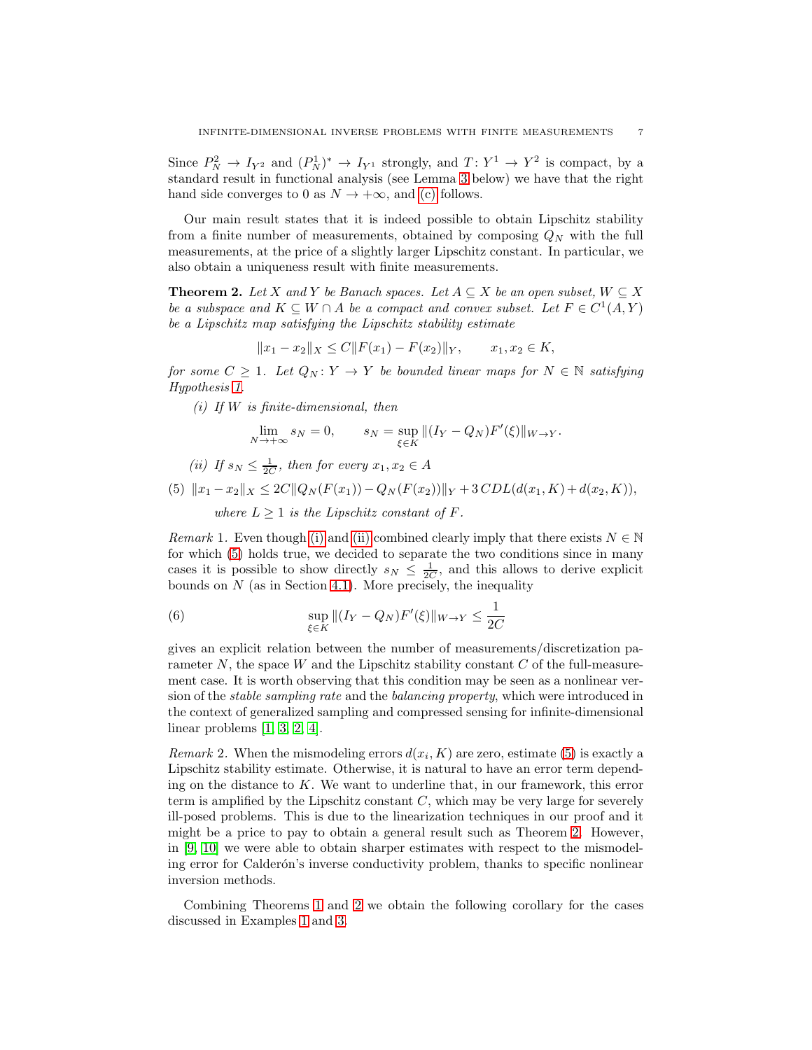Since  $P_N^2 \to I_{Y^2}$  and  $(P_N^1)^* \to I_{Y^1}$  strongly, and  $T: Y^1 \to Y^2$  is compact, by a standard result in functional analysis (see Lemma [3](#page-8-0) below) we have that the right hand side converges to 0 as  $N \to +\infty$ , and [\(c\)](#page-3-4) follows.

Our main result states that it is indeed possible to obtain Lipschitz stability from a finite number of measurements, obtained by composing  $Q_N$  with the full measurements, at the price of a slightly larger Lipschitz constant. In particular, we also obtain a uniqueness result with finite measurements.

<span id="page-6-3"></span>**Theorem 2.** Let X and Y be Banach spaces. Let  $A \subseteq X$  be an open subset,  $W \subseteq X$ be a subspace and  $K \subseteq W \cap A$  be a compact and convex subset. Let  $F \in C^1(A, Y)$ be a Lipschitz map satisfying the Lipschitz stability estimate

$$
||x_1 - x_2||_X \le C||F(x_1) - F(x_2)||_Y, \qquad x_1, x_2 \in K,
$$

<span id="page-6-0"></span>for some  $C \geq 1$ . Let  $Q_N: Y \to Y$  be bounded linear maps for  $N \in \mathbb{N}$  satisfying Hypothesis [1.](#page-3-1)

(i) If  $W$  is finite-dimensional, then

$$
\lim_{N \to +\infty} s_N = 0, \qquad s_N = \sup_{\xi \in K} || (I_Y - Q_N)F'(\xi) ||_{W \to Y}.
$$

<span id="page-6-2"></span><span id="page-6-1"></span>(ii) If 
$$
s_N \leq \frac{1}{2C}
$$
, then for every  $x_1, x_2 \in A$ 

(5) 
$$
||x_1 - x_2||_X \le 2C||Q_N(F(x_1)) - Q_N(F(x_2))||_Y + 3CDL(d(x_1, K) + d(x_2, K)),
$$

<span id="page-6-5"></span>where  $L \geq 1$  is the Lipschitz constant of F.

*Remark* 1. Even though [\(i\)](#page-6-0) and [\(ii\)](#page-6-1) combined clearly imply that there exists  $N \in \mathbb{N}$ for which [\(5\)](#page-6-2) holds true, we decided to separate the two conditions since in many cases it is possible to show directly  $s_N \leq \frac{1}{2C}$ , and this allows to derive explicit bounds on  $N$  (as in Section [4.1\)](#page-11-0). More precisely, the inequality

(6) 
$$
\sup_{\xi \in K} || (I_Y - Q_N) F'(\xi) ||_{W \to Y} \le \frac{1}{2C}
$$

gives an explicit relation between the number of measurements/discretization parameter  $N$ , the space W and the Lipschitz stability constant  $C$  of the full-measurement case. It is worth observing that this condition may be seen as a nonlinear version of the stable sampling rate and the balancing property, which were introduced in the context of generalized sampling and compressed sensing for infinite-dimensional linear problems [\[1,](#page-20-10) [3,](#page-20-11) [2,](#page-20-12) [4\]](#page-20-13).

<span id="page-6-6"></span>*Remark* 2. When the mismodeling errors  $d(x_i, K)$  are zero, estimate [\(5\)](#page-6-2) is exactly a Lipschitz stability estimate. Otherwise, it is natural to have an error term depending on the distance to  $K$ . We want to underline that, in our framework, this error term is amplified by the Lipschitz constant  $C$ , which may be very large for severely ill-posed problems. This is due to the linearization techniques in our proof and it might be a price to pay to obtain a general result such as Theorem [2.](#page-6-3) However, in [\[9,](#page-20-4) [10\]](#page-20-6) we were able to obtain sharper estimates with respect to the mismodeling error for Calderón's inverse conductivity problem, thanks to specific nonlinear inversion methods.

<span id="page-6-4"></span>Combining Theorems [1](#page-3-5) and [2](#page-6-3) we obtain the following corollary for the cases discussed in Examples [1](#page-4-0) and [3.](#page-5-1)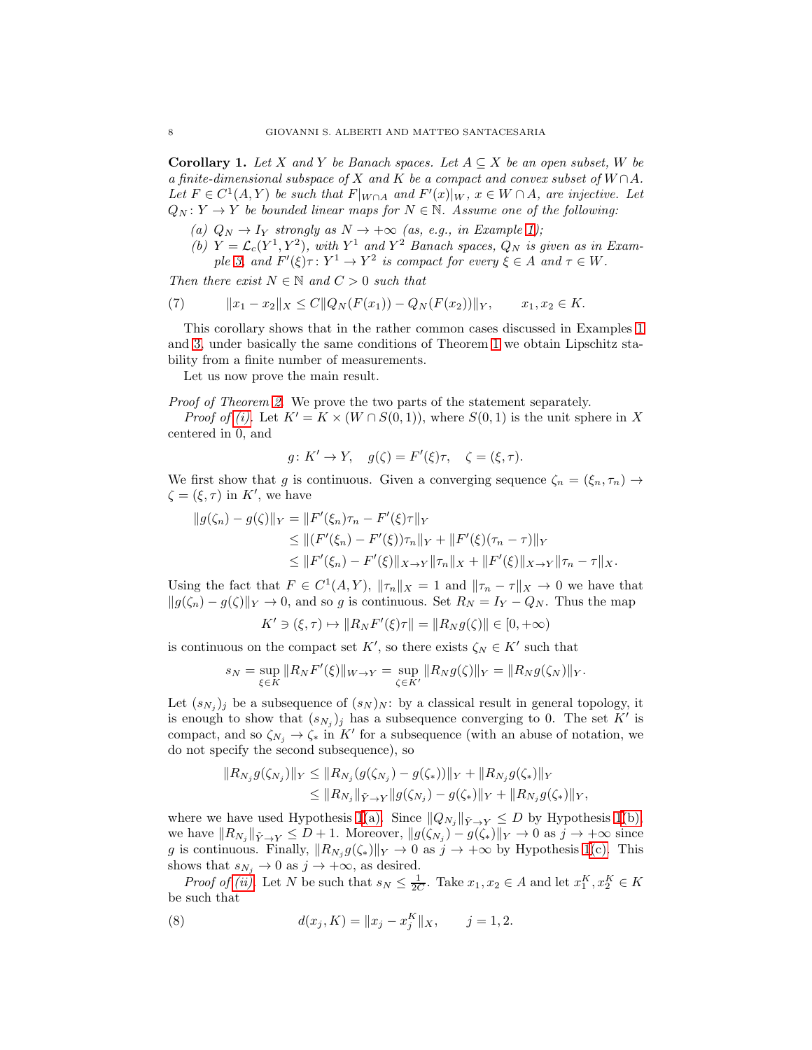Corollary 1. Let X and Y be Banach spaces. Let  $A \subseteq X$  be an open subset, W be a finite-dimensional subspace of X and K be a compact and convex subset of  $W \cap A$ . Let  $F \in C^1(A, Y)$  be such that  $F|_{W \cap A}$  and  $F'(x)|_W$ ,  $x \in W \cap A$ , are injective. Let  $Q_N: Y \to Y$  be bounded linear maps for  $N \in \mathbb{N}$ . Assume one of the following:

- (a)  $Q_N \to I_Y$  strongly as  $N \to +\infty$  (as, e.g., in Example [1\)](#page-4-0);
- (b)  $Y = \mathcal{L}_c(Y^1, Y^2)$ , with  $Y^1$  and  $Y^2$  Banach spaces,  $Q_N$  is given as in Exam-ple [3,](#page-5-1) and  $F'(\xi)\tau: Y^1 \to Y^2$  is compact for every  $\xi \in A$  and  $\tau \in W$ .

Then there exist  $N \in \mathbb{N}$  and  $C > 0$  such that

(7) 
$$
||x_1 - x_2||_X \leq C||Q_N(F(x_1)) - Q_N(F(x_2))||_Y, \qquad x_1, x_2 \in K.
$$

This corollary shows that in the rather common cases discussed in Examples [1](#page-4-0) and [3,](#page-5-1) under basically the same conditions of Theorem [1](#page-3-5) we obtain Lipschitz stability from a finite number of measurements.

Let us now prove the main result.

Proof of Theorem [2.](#page-6-3) We prove the two parts of the statement separately.

*Proof of [\(i\).](#page-6-0)* Let  $K' = K \times (W \cap S(0, 1))$ , where  $S(0, 1)$  is the unit sphere in X centered in 0, and

$$
g: K' \to Y, \quad g(\zeta) = F'(\xi)\tau, \quad \zeta = (\xi, \tau).
$$

We first show that g is continuous. Given a converging sequence  $\zeta_n = (\xi_n, \tau_n) \rightarrow$  $\zeta = (\xi, \tau)$  in K', we have

$$
||g(\zeta_n) - g(\zeta)||_Y = ||F'(\xi_n)\tau_n - F'(\xi)\tau||_Y
$$
  
\n
$$
\leq ||(F'(\xi_n) - F'(\xi))\tau_n||_Y + ||F'(\xi)(\tau_n - \tau)||_Y
$$
  
\n
$$
\leq ||F'(\xi_n) - F'(\xi)||_{X \to Y} ||\tau_n||_X + ||F'(\xi)||_{X \to Y} ||\tau_n - \tau||_X.
$$

Using the fact that  $F \in C^1(A, Y)$ ,  $\|\tau_n\|_X = 1$  and  $\|\tau_n - \tau\|_X \to 0$  we have that  $||g(\zeta_n) - g(\zeta)||_Y \to 0$ , and so g is continuous. Set  $R_N = I_Y - Q_N$ . Thus the map

$$
K' \ni (\xi, \tau) \mapsto \|R_N F'(\xi)\tau\| = \|R_N g(\zeta)\| \in [0, +\infty)
$$

is continuous on the compact set  $K'$ , so there exists  $\zeta_N \in K'$  such that

$$
s_N = \sup_{\xi \in K} ||R_N F'(\xi)||_{W \to Y} = \sup_{\zeta \in K'} ||R_N g(\zeta)||_Y = ||R_N g(\zeta_N)||_Y.
$$

Let  $(s_{N_j})_j$  be a subsequence of  $(s_N)_N$ : by a classical result in general topology, it is enough to show that  $(s_{N_j})_j$  has a subsequence converging to 0. The set K' is compact, and so  $\zeta_{N_j} \to \zeta_*$  in K' for a subsequence (with an abuse of notation, we do not specify the second subsequence), so

$$
||R_{N_j}g(\zeta_{N_j})||_Y \leq ||R_{N_j}(g(\zeta_{N_j}) - g(\zeta_*))||_Y + ||R_{N_j}g(\zeta_*)||_Y
$$
  
\n
$$
\leq ||R_{N_j}||_{\tilde{Y}\to Y} ||g(\zeta_{N_j}) - g(\zeta_*)||_Y + ||R_{N_j}g(\zeta_*)||_Y,
$$

where we have used Hypothesis [1](#page-3-1)[\(a\).](#page-3-2) Since  $||Q_{N_j}||_{\tilde{Y}\to Y} \leq D$  by Hypothesis 1[\(b\),](#page-3-3) we have  $||R_{N_j}||_{\tilde{Y}\to Y}\leq D+1$ . Moreover,  $||g(\zeta_{N_j})-g(\zeta_*)||_Y\to 0$  as  $j\to +\infty$  since g is continuous. Finally,  $||R_{N_j}g(\zeta_*)||_Y \to 0$  as  $j \to +\infty$  by Hypothesis [1](#page-3-1)[\(c\).](#page-3-4) This shows that  $s_{N_j} \to 0$  as  $j \to +\infty$ , as desired.

*Proof of (ii)*. Let N be such that  $s_N \leq \frac{1}{2C}$ . Take  $x_1, x_2 \in A$  and let  $x_1^K, x_2^K \in K$ be such that

<span id="page-7-0"></span>(8) 
$$
d(x_j, K) = ||x_j - x_j^K||_X, \qquad j = 1, 2.
$$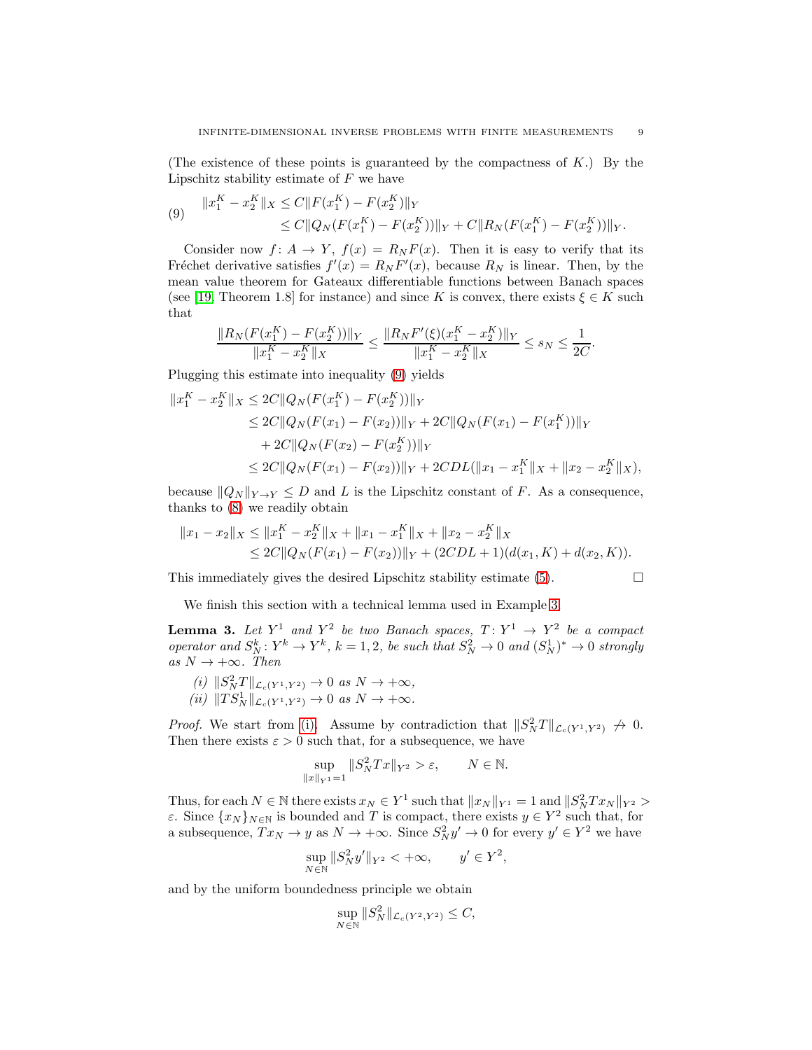(The existence of these points is guaranteed by the compactness of  $K$ .) By the Lipschitz stability estimate of  $F$  we have

<span id="page-8-1"></span>
$$
(9) \quad \|x_1^K - x_2^K\|_X \le C \|F(x_1^K) - F(x_2^K)\|_Y
$$
  
\n
$$
\le C \|Q_N(F(x_1^K) - F(x_2^K))\|_Y + C \|R_N(F(x_1^K) - F(x_2^K))\|_Y.
$$

Consider now  $f: A \to Y$ ,  $f(x) = R_N F(x)$ . Then it is easy to verify that its Fréchet derivative satisfies  $f'(x) = R_N F'(x)$ , because  $R_N$  is linear. Then, by the mean value theorem for Gateaux differentiable functions between Banach spaces (see [\[19,](#page-21-13) Theorem 1.8] for instance) and since K is convex, there exists  $\xi \in K$  such that

$$
\frac{\|R_N(F(x_1^K) - F(x_2^K))\|_Y}{\|x_1^K - x_2^K\|_X} \le \frac{\|R_N F'(\xi)(x_1^K - x_2^K)\|_Y}{\|x_1^K - x_2^K\|_X} \le s_N \le \frac{1}{2C}.
$$

Plugging this estimate into inequality [\(9\)](#page-8-1) yields

$$
||x_1^K - x_2^K||_X \le 2C||Q_N(F(x_1^K) - F(x_2^K))||_Y
$$
  
\n
$$
\le 2C||Q_N(F(x_1) - F(x_2))||_Y + 2C||Q_N(F(x_1) - F(x_1^K))||_Y
$$
  
\n
$$
+ 2C||Q_N(F(x_2) - F(x_2^K))||_Y
$$
  
\n
$$
\le 2C||Q_N(F(x_1) - F(x_2))||_Y + 2CDL(||x_1 - x_1^K||_X + ||x_2 - x_2^K||_X),
$$

because  $\|Q_N\|_{Y\to Y}\leq D$  and L is the Lipschitz constant of F. As a consequence, thanks to [\(8\)](#page-7-0) we readily obtain

$$
||x_1 - x_2||_X \le ||x_1^K - x_2^K||_X + ||x_1 - x_1^K||_X + ||x_2 - x_2^K||_X
$$
  
\n
$$
\le 2C||Q_N(F(x_1) - F(x_2))||_Y + (2CDL + 1)(d(x_1, K) + d(x_2, K)).
$$

This immediately gives the desired Lipschitz stability estimate [\(5\)](#page-6-2).

$$
\qquad \qquad \Box
$$

<span id="page-8-0"></span>We finish this section with a technical lemma used in Example [3.](#page-5-1)

**Lemma 3.** Let  $Y^1$  and  $Y^2$  be two Banach spaces,  $T: Y^1 \rightarrow Y^2$  be a compact operator and  $S_N^k: Y^k \to Y^k$ ,  $k = 1, 2$ , be such that  $S_N^2 \to 0$  and  $(S_N^1)^* \to 0$  strongly as  $N \to +\infty$ . Then

<span id="page-8-3"></span><span id="page-8-2"></span>(i)  $\|S_N^2 T\|_{\mathcal{L}_c(Y^1, Y^2)} \to 0$  as  $N \to +\infty$ , (*ii*)  $||TS_N^1||_{\mathcal{L}_c(Y^1, Y^2)} \to 0 \text{ as } N \to +\infty.$ 

*Proof.* We start from [\(i\).](#page-8-2) Assume by contradiction that  $||S_N^2T||_{\mathcal{L}_c(Y^1, Y^2)} \nrightarrow 0$ . Then there exists  $\varepsilon > 0$  such that, for a subsequence, we have

$$
\sup_{\|x\|_{Y^{1}}=1} \|S_{N}^{2}Tx\|_{Y^{2}} > \varepsilon, \qquad N \in \mathbb{N}.
$$

Thus, for each  $N \in \mathbb{N}$  there exists  $x_N \in Y^1$  such that  $||x_N||_{Y^1} = 1$  and  $||S_N^2 T x_N||_{Y^2} >$ ε. Since  ${x_N}_{N∈N}$  is bounded and T is compact, there exists  $y ∈ Y^2$  such that, for a subsequence,  $Tx_N \to y$  as  $N \to +\infty$ . Since  $S_N^2 y' \to 0$  for every  $y' \in Y^2$  we have

$$
\sup_{N \in \mathbb{N}} \|S_N^2 y'\|_{Y^2} < +\infty, \qquad y' \in Y^2,
$$

and by the uniform boundedness principle we obtain

$$
\sup_{N \in \mathbb{N}} \|S_N^2\|_{\mathcal{L}_c(Y^2, Y^2)} \le C,
$$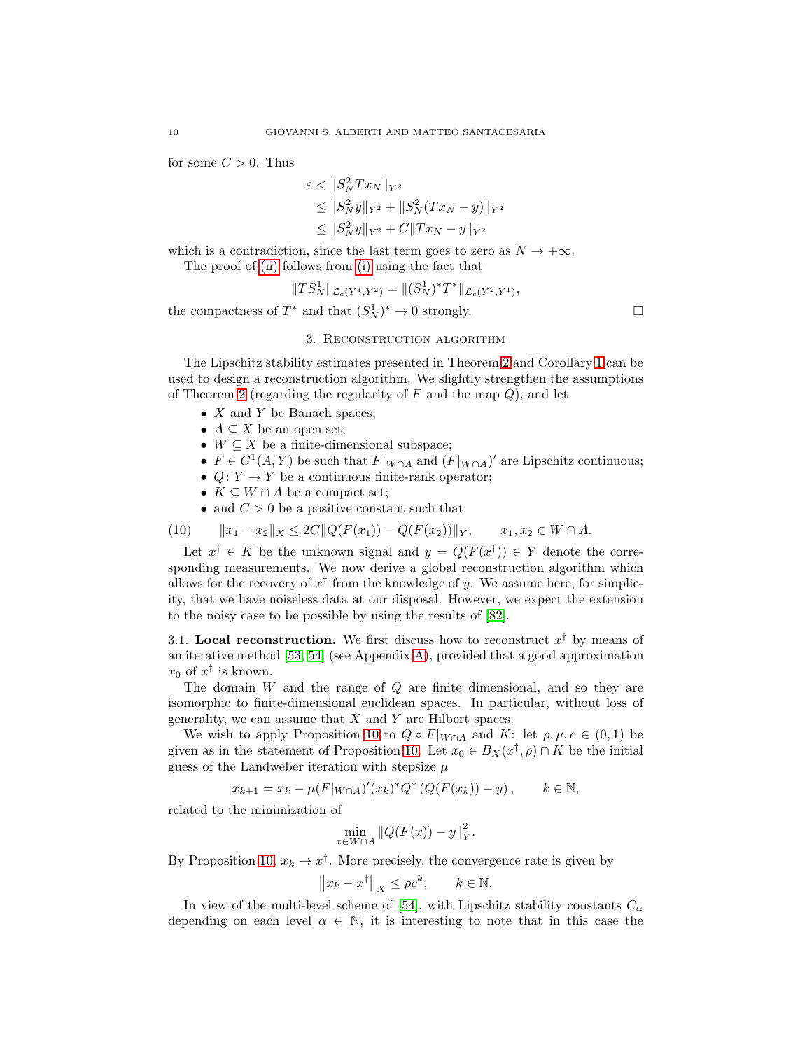for some  $C > 0$ . Thus

$$
\varepsilon < \|S_N^2 T x_N\|_{Y^2}
$$
\n
$$
\leq \|S_N^2 y\|_{Y^2} + \|S_N^2 (T x_N - y)\|_{Y^2}
$$
\n
$$
\leq \|S_N^2 y\|_{Y^2} + C \|T x_N - y\|_{Y^2}
$$

which is a contradiction, since the last term goes to zero as  $N \to +\infty$ .

The proof of [\(ii\)](#page-8-3) follows from [\(i\)](#page-8-2) using the fact that

$$
||TS_N^1||_{\mathcal{L}_c(Y^1,Y^2)} = ||(S_N^1)^*T^*||_{\mathcal{L}_c(Y^2,Y^1)},
$$

<span id="page-9-0"></span>the compactness of  $T^*$  and that  $(S_N^1)^* \to 0$  strongly.

#### 3. Reconstruction algorithm

The Lipschitz stability estimates presented in Theorem [2](#page-6-3) and Corollary [1](#page-6-4) can be used to design a reconstruction algorithm. We slightly strengthen the assumptions of Theorem [2](#page-6-3) (regarding the regularity of  $F$  and the map  $Q$ ), and let

- $X$  and  $Y$  be Banach spaces;
- $A \subseteq X$  be an open set;
- $W \subseteq X$  be a finite-dimensional subspace;
- $F \in C^1(A, Y)$  be such that  $F|_{W \cap A}$  and  $(F|_{W \cap A})'$  are Lipschitz continuous;
- $Q: Y \to Y$  be a continuous finite-rank operator;
- $K \subseteq W \cap A$  be a compact set;
- <span id="page-9-1"></span>• and  $C > 0$  be a positive constant such that

$$
(10) \t\t ||x_1 - x_2||_X \le 2C||Q(F(x_1)) - Q(F(x_2))||_Y, \t x_1, x_2 \in W \cap A.
$$

Let  $x^{\dagger} \in K$  be the unknown signal and  $y = Q(F(x^{\dagger})) \in Y$  denote the corresponding measurements. We now derive a global reconstruction algorithm which allows for the recovery of  $x^{\dagger}$  from the knowledge of y. We assume here, for simplicity, that we have noiseless data at our disposal. However, we expect the extension to the noisy case to be possible by using the results of [\[82\]](#page-24-14).

<span id="page-9-2"></span>3.1. Local reconstruction. We first discuss how to reconstruct  $x^{\dagger}$  by means of an iterative method [\[53,](#page-22-3) [54\]](#page-22-13) (see Appendix [A\)](#page-25-0), provided that a good approximation  $x_0$  of  $x^{\dagger}$  is known.

The domain W and the range of Q are finite dimensional, and so they are isomorphic to finite-dimensional euclidean spaces. In particular, without loss of generality, we can assume that  $X$  and  $Y$  are Hilbert spaces.

We wish to apply Proposition [10](#page-25-1) to  $Q \circ F|_{W \cap A}$  and K: let  $\rho, \mu, c \in (0,1)$  be given as in the statement of Proposition [10.](#page-25-1) Let  $x_0 \in B_X(x^{\dagger}, \rho) \cap K$  be the initial guess of the Landweber iteration with stepsize  $\mu$ 

$$
x_{k+1} = x_k - \mu(F|_{W \cap A})'(x_k)^* Q^* (Q(F(x_k)) - y), \qquad k \in \mathbb{N},
$$

related to the minimization of

$$
\min_{x \in W \cap A} \|Q(F(x)) - y\|_Y^2.
$$

By Proposition [10,](#page-25-1)  $x_k \to x^{\dagger}$ . More precisely, the convergence rate is given by

$$
\|x_k - x^{\dagger}\|_X \le \rho c^k, \qquad k \in \mathbb{N}.
$$

In view of the multi-level scheme of [\[54\]](#page-22-13), with Lipschitz stability constants  $C_{\alpha}$ depending on each level  $\alpha \in \mathbb{N}$ , it is interesting to note that in this case the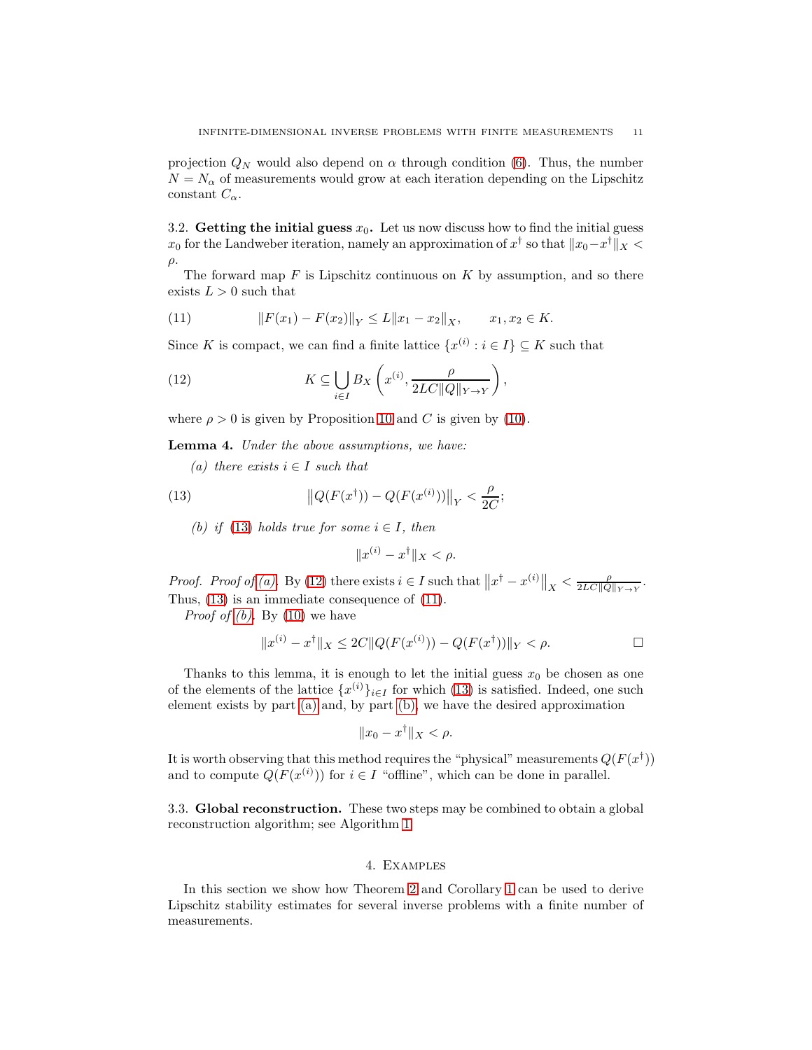projection  $Q_N$  would also depend on  $\alpha$  through condition [\(6\)](#page-6-5). Thus, the number  $N = N_{\alpha}$  of measurements would grow at each iteration depending on the Lipschitz constant  $C_{\alpha}$ .

3.2. Getting the initial guess  $x_0$ . Let us now discuss how to find the initial guess  $x_0$  for the Landweber iteration, namely an approximation of  $x^{\dagger}$  so that  $||x_0-x^{\dagger}||_X$  $ρ.$ 

The forward map  $F$  is Lipschitz continuous on  $K$  by assumption, and so there exists  $L > 0$  such that

<span id="page-10-4"></span>(11) 
$$
||F(x_1) - F(x_2)||_Y \le L||x_1 - x_2||_X, \qquad x_1, x_2 \in K.
$$

Since K is compact, we can find a finite lattice  $\{x^{(i)} : i \in I\} \subseteq K$  such that

<span id="page-10-3"></span>(12) 
$$
K \subseteq \bigcup_{i \in I} B_X \left( x^{(i)}, \frac{\rho}{2LC ||Q||_{Y \to Y}} \right),
$$

where  $\rho > 0$  is given by Proposition [10](#page-25-1) and C is given by [\(10\)](#page-9-1).

<span id="page-10-2"></span>Lemma 4. Under the above assumptions, we have:

(a) there exists  $i \in I$  such that

<span id="page-10-5"></span>(13) 
$$
\left\| Q(F(x^{\dagger})) - Q(F(x^{(i)})) \right\|_{Y} < \frac{\rho}{2C};
$$

(b) if [\(13\)](#page-10-1) holds true for some  $i \in I$ , then

<span id="page-10-1"></span>
$$
||x^{(i)} - x^{\dagger}||_X < \rho.
$$

Proof. Proof of [\(a\).](#page-10-2) By [\(12\)](#page-10-3) there exists  $i \in I$  such that  $||x^{\dagger} - x^{(i)}||_X < \frac{\rho}{2LC||Q||_{Y\to Y}}$ . Thus, [\(13\)](#page-10-1) is an immediate consequence of [\(11\)](#page-10-4).

*Proof of (b)*. By  $(10)$  we have

$$
||x^{(i)} - x^{\dagger}||_X \le 2C||Q(F(x^{(i)})) - Q(F(x^{\dagger}))||_Y < \rho.
$$

Thanks to this lemma, it is enough to let the initial guess  $x_0$  be chosen as one of the elements of the lattice  $\{x^{(i)}\}_{i\in I}$  for which [\(13\)](#page-10-1) is satisfied. Indeed, one such element exists by part [\(a\)](#page-10-2) and, by part [\(b\),](#page-10-5) we have the desired approximation

$$
||x_0 - x^{\dagger}||_X < \rho.
$$

It is worth observing that this method requires the "physical" measurements  $Q(F(x^{\dagger}))$ and to compute  $Q(F(x^{(i)}))$  for  $i \in I$  "offline", which can be done in parallel.

3.3. Global reconstruction. These two steps may be combined to obtain a global reconstruction algorithm; see Algorithm [1.](#page-11-1)

# 4. Examples

<span id="page-10-0"></span>In this section we show how Theorem [2](#page-6-3) and Corollary [1](#page-6-4) can be used to derive Lipschitz stability estimates for several inverse problems with a finite number of measurements.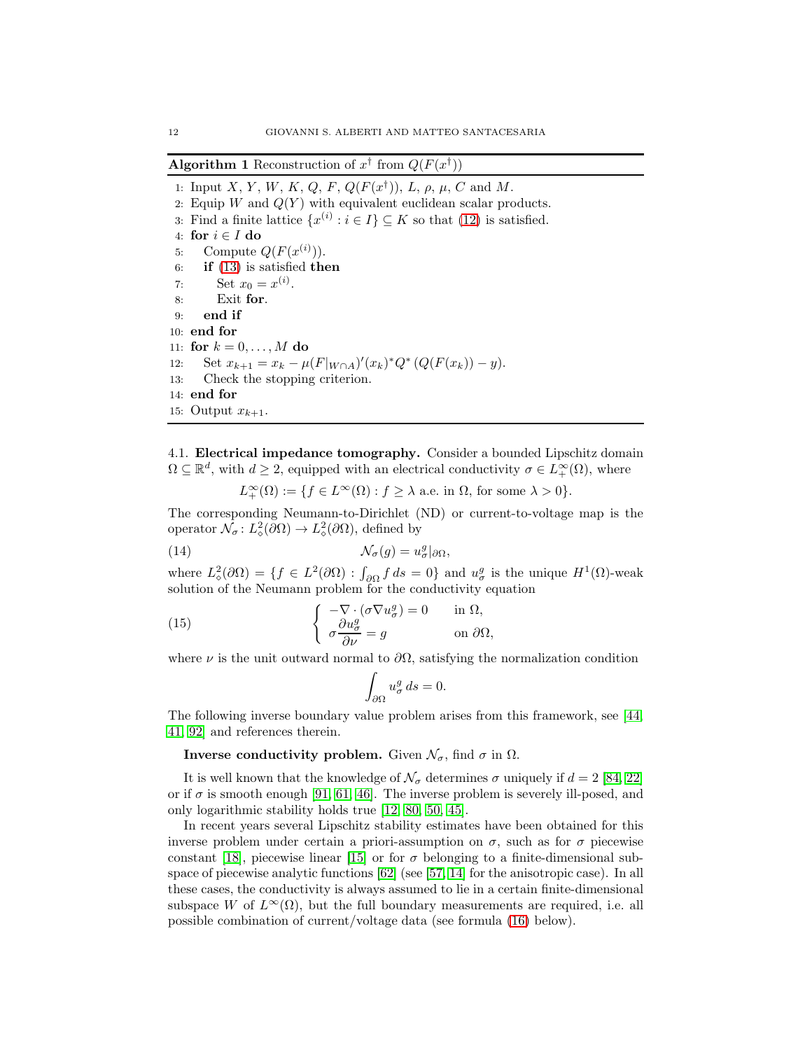<span id="page-11-1"></span>**Algorithm 1** Reconstruction of  $x^{\dagger}$  from  $Q(F(x^{\dagger}))$ 

1: Input X, Y, W, K, Q, F,  $Q(F(x^{\dagger}))$ , L,  $\rho$ ,  $\mu$ , C and M. 2: Equip W and  $Q(Y)$  with equivalent euclidean scalar products. 3: Find a finite lattice  $\{x^{(i)} : i \in I\} \subseteq K$  so that [\(12\)](#page-10-3) is satisfied. 4: for  $i \in I$  do 5: Compute  $Q(F(x^{(i)}))$ . 6: if  $(13)$  is satisfied then 7: Set  $x_0 = x^{(i)}$ . 8: Exit for. 9: end if 10: end for 11: for  $k = 0, ..., M$  do 12: Set  $x_{k+1} = x_k - \mu(F|_{W \cap A})'(x_k)^* Q^* (Q(F(x_k)) - y).$ 13: Check the stopping criterion. 14: end for 15: Output  $x_{k+1}$ .

<span id="page-11-0"></span>4.1. Electrical impedance tomography. Consider a bounded Lipschitz domain  $\Omega \subseteq \mathbb{R}^d$ , with  $d \geq 2$ , equipped with an electrical conductivity  $\sigma \in L^{\infty}_{+}(\Omega)$ , where

 $L^{\infty}_{+}(\Omega) := \{ f \in L^{\infty}(\Omega) : f \ge \lambda \text{ a.e. in } \Omega, \text{ for some } \lambda > 0 \}.$ 

The corresponding Neumann-to-Dirichlet (ND) or current-to-voltage map is the operator  $\mathcal{N}_{\sigma} : L^2_{\diamond}(\partial \Omega) \to L^2_{\diamond}(\partial \Omega)$ , defined by

(14) 
$$
\mathcal{N}_{\sigma}(g) = u_{\sigma}^{g} |_{\partial \Omega},
$$

where  $L^2_{\diamond}(\partial\Omega) = \{f \in L^2(\partial\Omega) : \int_{\partial\Omega} f ds = 0\}$  and  $u^g_{\sigma}$  is the unique  $H^1(\Omega)$ -weak solution of the Neumann problem for the conductivity equation

(15) 
$$
\begin{cases} -\nabla \cdot (\sigma \nabla u_{\sigma}^{g}) = 0 & \text{in } \Omega, \\ \sigma \frac{\partial u_{\sigma}^{g}}{\partial \nu} = g & \text{on } \partial \Omega, \end{cases}
$$

where  $\nu$  is the unit outward normal to  $\partial\Omega$ , satisfying the normalization condition

<span id="page-11-2"></span>
$$
\int_{\partial\Omega} u^g_\sigma ds = 0.
$$

The following inverse boundary value problem arises from this framework, see [\[44,](#page-22-0) [41,](#page-22-14) [92\]](#page-24-15) and references therein.

# **Inverse conductivity problem.** Given  $\mathcal{N}_{\sigma}$ , find  $\sigma$  in  $\Omega$ .

It is well known that the knowledge of  $\mathcal{N}_{\sigma}$  determines  $\sigma$  uniquely if  $d = 2$  [\[84,](#page-24-16) [22\]](#page-21-14) or if  $\sigma$  is smooth enough [\[91,](#page-24-17) [61,](#page-23-15) [46\]](#page-22-15). The inverse problem is severely ill-posed, and only logarithmic stability holds true [\[12,](#page-20-1) [80,](#page-24-3) [50,](#page-22-16) [45\]](#page-22-17).

In recent years several Lipschitz stability estimates have been obtained for this inverse problem under certain a priori-assumption on  $\sigma$ , such as for  $\sigma$  piecewise constant [\[18\]](#page-21-0), piecewise linear [\[15\]](#page-21-7) or for  $\sigma$  belonging to a finite-dimensional subspace of piecewise analytic functions [\[62\]](#page-23-6) (see [\[57,](#page-23-4) [14\]](#page-20-3) for the anisotropic case). In all these cases, the conductivity is always assumed to lie in a certain finite-dimensional subspace W of  $L^{\infty}(\Omega)$ , but the full boundary measurements are required, i.e. all possible combination of current/voltage data (see formula [\(16\)](#page-12-0) below).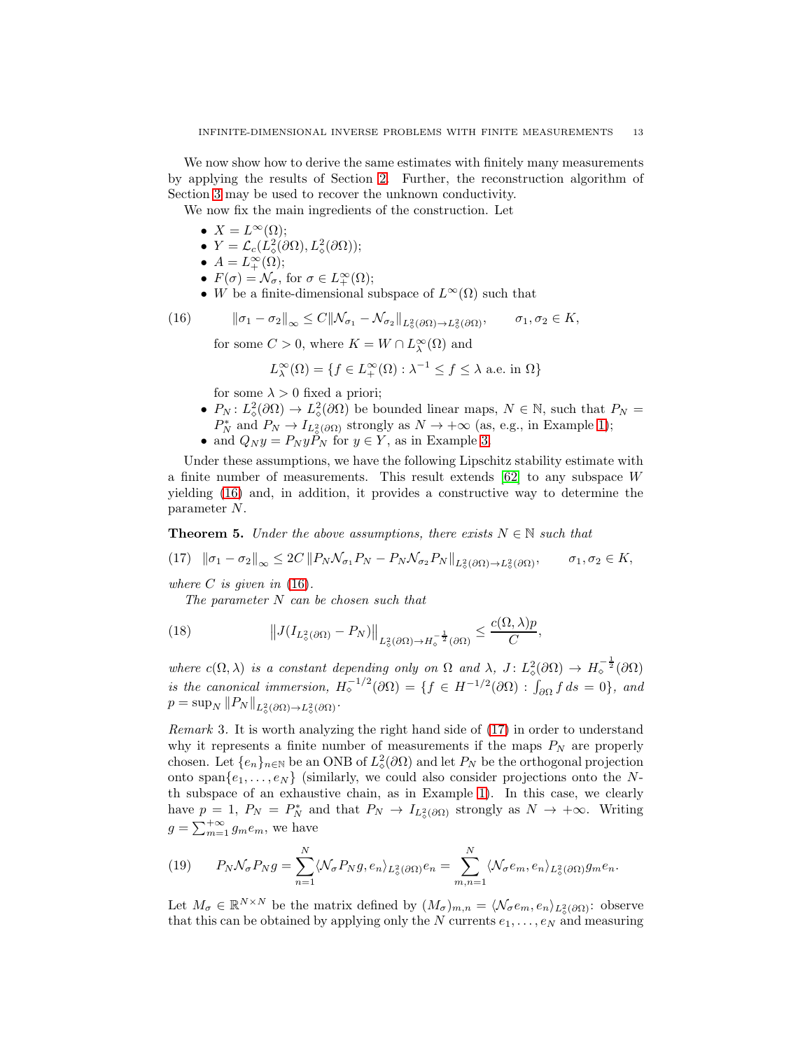We now show how to derive the same estimates with finitely many measurements by applying the results of Section [2.](#page-2-0) Further, the reconstruction algorithm of Section [3](#page-9-0) may be used to recover the unknown conductivity.

We now fix the main ingredients of the construction. Let

- $X = L^{\infty}(\Omega)$ ;
- $Y = \mathcal{L}_c(L^2_\diamond(\partial \Omega), L^2_\diamond(\partial \Omega));$
- $A=L_+^{\infty}(\Omega);$
- $F(\sigma) = \mathcal{N}_{\sigma}$ , for  $\sigma \in L^{\infty}_{+}(\Omega)$ ;
- W be a finite-dimensional subspace of  $L^{\infty}(\Omega)$  such that

(16) 
$$
\|\sigma_1 - \sigma_2\|_{\infty} \le C\|\mathcal{N}_{\sigma_1} - \mathcal{N}_{\sigma_2}\|_{L^2_{\phi}(\partial\Omega) \to L^2_{\phi}(\partial\Omega)}, \quad \sigma_1, \sigma_2 \in K,
$$

<span id="page-12-0"></span>for some  $C > 0$ , where  $K = W \cap L^{\infty}_{\lambda}(\Omega)$  and

$$
L^{\infty}_{\lambda}(\Omega) = \{ f \in L^{\infty}_{+}(\Omega) : \lambda^{-1} \le f \le \lambda \text{ a.e. in } \Omega \}
$$

for some  $\lambda > 0$  fixed a priori;

- $P_N: L^2_{\diamond}(\partial\Omega) \to L^2_{\diamond}(\partial\Omega)$  be bounded linear maps,  $N \in \mathbb{N}$ , such that  $P_N =$  $P_N^*$  and  $P_N \to I_{L^2_{\phi}(\partial \Omega)}$  strongly as  $N \to +\infty$  (as, e.g., in Example [1\)](#page-4-0);
- and  $Q_N y = P_N y P_N$  for  $y \in Y$ , as in Example [3.](#page-5-1)

Under these assumptions, we have the following Lipschitz stability estimate with a finite number of measurements. This result extends [\[62\]](#page-23-6) to any subspace W yielding [\(16\)](#page-12-0) and, in addition, it provides a constructive way to determine the parameter N.

<span id="page-12-5"></span>**Theorem 5.** Under the above assumptions, there exists  $N \in \mathbb{N}$  such that

<span id="page-12-1"></span>
$$
(17) \quad \|\sigma_1 - \sigma_2\|_{\infty} \leq 2C \left\| P_N \mathcal{N}_{\sigma_1} P_N - P_N \mathcal{N}_{\sigma_2} P_N \right\|_{L^2_{\diamond}(\partial \Omega) \to L^2_{\diamond}(\partial \Omega)}, \qquad \sigma_1, \sigma_2 \in K,
$$

where  $C$  is given in [\(16\)](#page-12-0).

<span id="page-12-3"></span>The parameter N can be chosen such that

(18) 
$$
\|J(I_{L^2_{\diamond}(\partial\Omega)} - P_N)\|_{L^2_{\diamond}(\partial\Omega) \to H^{-\frac{1}{2}}_{\diamond}(\partial\Omega)} \leq \frac{c(\Omega, \lambda)p}{C},
$$

where  $c(\Omega, \lambda)$  is a constant depending only on  $\Omega$  and  $\lambda$ ,  $J: L^2_{\diamond}(\partial \Omega) \to H^{-\frac{1}{2}}_{\diamond}(\partial \Omega)$ is the canonical immersion,  $H_{\circ}^{-1/2}(\partial \Omega) = \{f \in H^{-1/2}(\partial \Omega) : \int_{\partial \Omega} f ds = 0\}$ , and  $p = \sup_N ||P_N||_{L^2_{\diamond}(\partial \Omega) \to L^2_{\diamond}(\partial \Omega)}$ .

<span id="page-12-4"></span>Remark 3. It is worth analyzing the right hand side of [\(17\)](#page-12-1) in order to understand why it represents a finite number of measurements if the maps  $P_N$  are properly chosen. Let  $\{e_n\}_{n\in\mathbb{N}}$  be an ONB of  $L^2_{\diamond}(\partial\Omega)$  and let  $P_N$  be the orthogonal projection onto span $\{e_1, \ldots, e_N\}$  (similarly, we could also consider projections onto the Nth subspace of an exhaustive chain, as in Example [1\)](#page-4-0). In this case, we clearly have  $p = 1$ ,  $P_N = P_N^*$  and that  $P_N \to I_{L^2_o(\partial\Omega)}$  strongly as  $N \to +\infty$ . Writing  $g = \sum_{m=1}^{+\infty} g_m e_m$ , we have

<span id="page-12-2"></span>(19) 
$$
P_N \mathcal{N}_{\sigma} P_N g = \sum_{n=1}^N \langle \mathcal{N}_{\sigma} P_N g, e_n \rangle_{L^2_{\diamond}(\partial \Omega)} e_n = \sum_{m,n=1}^N \langle \mathcal{N}_{\sigma} e_m, e_n \rangle_{L^2_{\diamond}(\partial \Omega)} g_m e_n.
$$

Let  $M_{\sigma} \in \mathbb{R}^{N \times N}$  be the matrix defined by  $(M_{\sigma})_{m,n} = \langle \mathcal{N}_{\sigma}e_m, e_n \rangle_{L^2_{\sigma}(\partial \Omega)}$ : observe that this can be obtained by applying only the N currents  $e_1, \ldots, e_N$  and measuring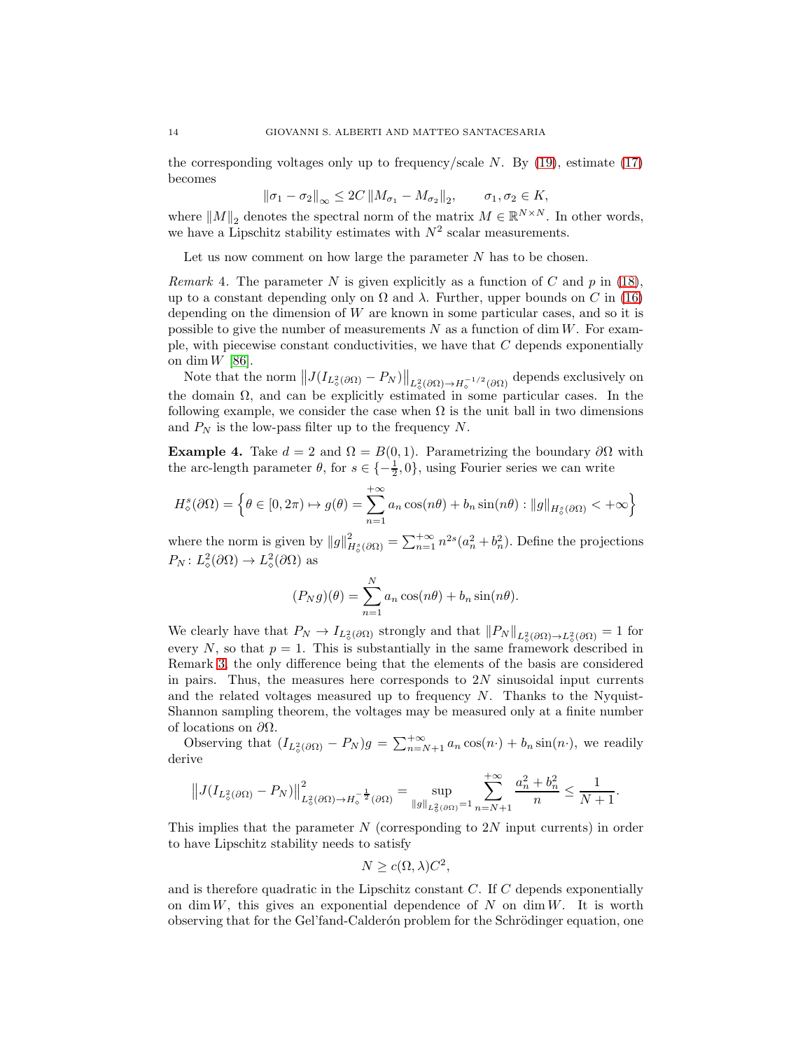the corresponding voltages only up to frequency/scale  $N$ . By [\(19\)](#page-12-2), estimate [\(17\)](#page-12-1) becomes

 $\|\sigma_1 - \sigma_2\|_{\infty} \leq 2C \left\|M_{\sigma_1} - M_{\sigma_2}\right\|_2, \quad \sigma_1, \sigma_2 \in K,$ 

where  $||M||_2$  denotes the spectral norm of the matrix  $M \in \mathbb{R}^{N \times N}$ . In other words, we have a Lipschitz stability estimates with  $N^2$  scalar measurements.

Let us now comment on how large the parameter N has to be chosen.

*Remark* 4. The parameter N is given explicitly as a function of C and p in [\(18\)](#page-12-3), up to a constant depending only on  $\Omega$  and  $\lambda$ . Further, upper bounds on C in [\(16\)](#page-12-0) depending on the dimension of  $W$  are known in some particular cases, and so it is possible to give the number of measurements  $N$  as a function of dim  $W$ . For example, with piecewise constant conductivities, we have that  $C$  depends exponentially on dim  $W$  [\[86\]](#page-24-12).

Note that the norm  $||J(I_{L^2_{\phi}(\partial \Omega)} - P_N)||_{L^2_{\phi}(\partial \Omega) \to H^{-1/2}_{\phi}(\partial \Omega)}$  depends exclusively on the domain  $\Omega$ , and can be explicitly estimated in some particular cases. In the following example, we consider the case when  $\Omega$  is the unit ball in two dimensions and  $P_N$  is the low-pass filter up to the frequency N.

Example 4. Take  $d = 2$  and  $\Omega = B(0, 1)$ . Parametrizing the boundary  $\partial\Omega$  with the arc-length parameter  $\theta$ , for  $s \in \{-\frac{1}{2}, 0\}$ , using Fourier series we can write

$$
H^s_\diamond(\partial\Omega) = \left\{\theta \in [0, 2\pi) \mapsto g(\theta) = \sum_{n=1}^{+\infty} a_n \cos(n\theta) + b_n \sin(n\theta) : ||g||_{H^s_\diamond(\partial\Omega)} < +\infty\right\}
$$

where the norm is given by  $||g||^2_{H^s_o(\partial\Omega)} = \sum_{n=1}^{+\infty} n^{2s} (a_n^2 + b_n^2)$ . Define the projections  $P_N: L^2_{\diamond}(\partial\Omega) \to L^2_{\diamond}(\partial\Omega)$  as

$$
(P_N g)(\theta) = \sum_{n=1}^N a_n \cos(n\theta) + b_n \sin(n\theta).
$$

We clearly have that  $P_N \to I_{L^2_{\phi}(\partial \Omega)}$  strongly and that  $||P_N||_{L^2_{\phi}(\partial \Omega) \to L^2_{\phi}(\partial \Omega)} = 1$  for every N, so that  $p = 1$ . This is substantially in the same framework described in Remark [3,](#page-12-4) the only difference being that the elements of the basis are considered in pairs. Thus, the measures here corresponds to  $2N$  sinusoidal input currents and the related voltages measured up to frequency  $N$ . Thanks to the Nyquist-Shannon sampling theorem, the voltages may be measured only at a finite number of locations on  $\partial\Omega$ .

Observing that  $(I_{L^2_{\sigma}(\partial\Omega)} - P_N)g = \sum_{n=N+1}^{+\infty} a_n \cos(n \cdot) + b_n \sin(n \cdot)$ , we readily derive

$$
||J(I_{L^2_{\diamond}(\partial\Omega)} - P_N)||_{L^2_{\diamond}(\partial\Omega) \to H^{-\frac{1}{2}}_{\diamond}(\partial\Omega)}^2 = \sup_{||g||_{L^2_{\diamond}(\partial\Omega)} = 1} \sum_{n=N+1}^{+\infty} \frac{a_n^2 + b_n^2}{n} \le \frac{1}{N+1}.
$$

This implies that the parameter  $N$  (corresponding to 2N input currents) in order to have Lipschitz stability needs to satisfy

$$
N \ge c(\Omega, \lambda)C^2,
$$

and is therefore quadratic in the Lipschitz constant  $C$ . If  $C$  depends exponentially on dim W, this gives an exponential dependence of N on dim W. It is worth observing that for the Gel'fand-Calderón problem for the Schrödinger equation, one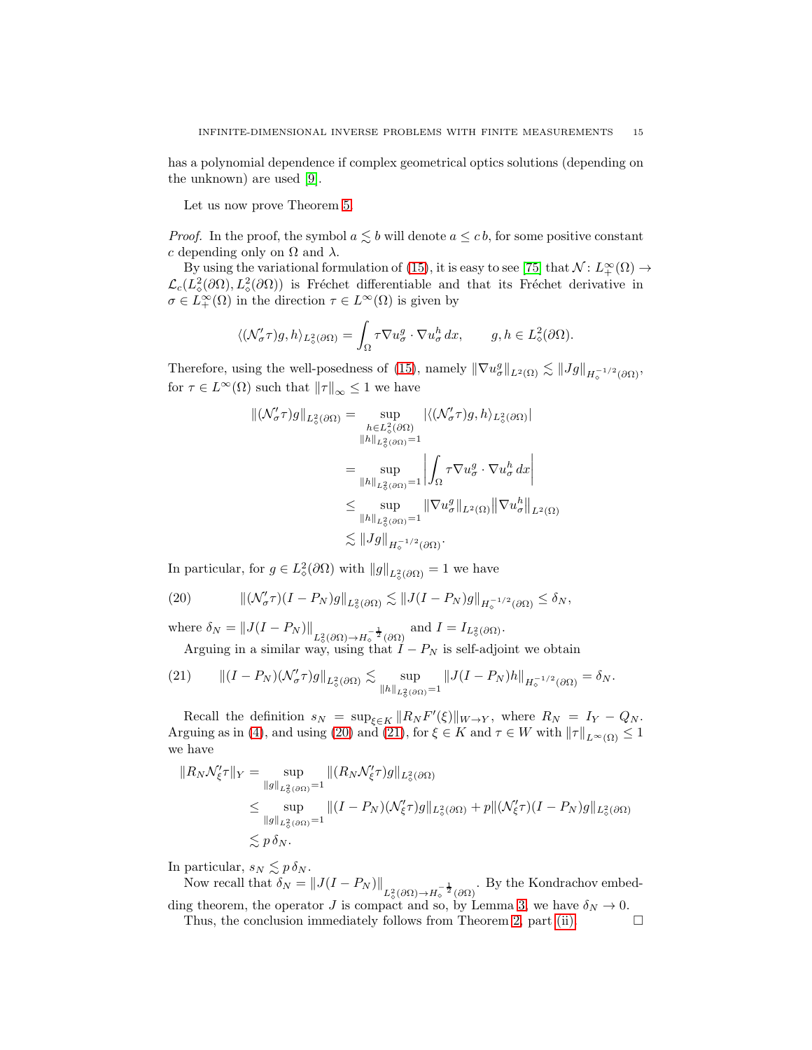has a polynomial dependence if complex geometrical optics solutions (depending on the unknown) are used [\[9\]](#page-20-4).

Let us now prove Theorem [5.](#page-12-5)

*Proof.* In the proof, the symbol  $a \leq b$  will denote  $a \leq c b$ , for some positive constant c depending only on  $\Omega$  and  $\lambda$ .

By using the variational formulation of [\(15\)](#page-11-2), it is easy to see [\[75\]](#page-24-4) that  $\mathcal{N} \colon L^{\infty}_+(\Omega) \to$  $\mathcal{L}_c(L^2_\diamond(\partial\Omega), L^2_\diamond(\partial\Omega))$  is Fréchet differentiable and that its Fréchet derivative in  $\sigma \in L^{\infty}_{+}(\Omega)$  in the direction  $\tau \in L^{\infty}(\Omega)$  is given by

$$
\langle (\mathcal{N}'_{\sigma}\tau)g, h \rangle_{L^2_{\diamond}(\partial\Omega)} = \int_{\Omega} \tau \nabla u_{\sigma}^g \cdot \nabla u_{\sigma}^h dx, \qquad g, h \in L^2_{\diamond}(\partial\Omega).
$$

Therefore, using the well-posedness of [\(15\)](#page-11-2), namely  $\|\nabla u^g_{\sigma}\|_{L^2(\Omega)} \lesssim \|Jg\|_{H^{-1/2}_{\phi}(\partial\Omega)},$ for  $\tau \in L^{\infty}(\Omega)$  such that  $||\tau||_{\infty} \leq 1$  we have

$$
\begin{aligned} \|(\mathcal{N}'_{\sigma}\tau)g\|_{L^2_{\diamond}(\partial\Omega)} &= \sup_{h\in L^2_{\diamond}(\partial\Omega)} |\langle (\mathcal{N}'_{\sigma}\tau)g, h\rangle_{L^2_{\diamond}(\partial\Omega)}| \\ &\|h\|_{L^2_{\diamond}(\partial\Omega)} = 1 \\ &= \sup_{\|h\|_{L^2_{\diamond}(\partial\Omega)} = 1} \left| \int_{\Omega} \tau \nabla u^g_{\sigma} \cdot \nabla u^h_{\sigma} \, dx \right| \\ &\leq \sup_{\|h\|_{L^2_{\diamond}(\partial\Omega)} = 1} \left\| \nabla u^g_{\sigma} \right\|_{L^2(\Omega)} \left\| \nabla u^h_{\sigma} \right\|_{L^2(\Omega)} \\ &\lesssim \|Jg\|_{H^{-1/2}_{\diamond}(\partial\Omega)}. \end{aligned}
$$

In particular, for  $g \in L^2_{\diamond}(\partial \Omega)$  with  $||g||_{L^2_{\diamond}(\partial \Omega)} = 1$  we have

<span id="page-14-0"></span>(20) 
$$
\|(\mathcal{N}'_{\sigma}\tau)(I-P_N)g\|_{L^2_{\phi}(\partial\Omega)} \lesssim \|J(I-P_N)g\|_{H^{-1/2}_{\phi}(\partial\Omega)} \leq \delta_N,
$$

where  $\delta_N = ||J(I - P_N)||_{L^2_{\phi}(\partial \Omega) \to H^{-\frac{1}{2}}_{\phi}(\partial \Omega)}$  and  $I = I_{L^2_{\phi}(\partial \Omega)}$ .

<span id="page-14-1"></span>Arguing in a similar way, using that  $I - P_N$  is self-adjoint we obtain

$$
(21) \qquad \|(I - P_N)(\mathcal{N}'_{\sigma}\tau)g\|_{L^2_{\phi}(\partial\Omega)} \lesssim \sup_{\|h\|_{L^2_{\phi}(\partial\Omega)}=1} \|J(I - P_N)h\|_{H^{-1/2}_{\phi}(\partial\Omega)} = \delta_N.
$$

Recall the definition  $s_N = \sup_{\xi \in K} ||R_N F'(\xi)||_{W \to Y}$ , where  $R_N = I_Y - Q_N$ . Arguing as in [\(4\)](#page-5-2), and using [\(20\)](#page-14-0) and [\(21\)](#page-14-1), for  $\xi \in K$  and  $\tau \in W$  with  $||\tau||_{L^{\infty}(\Omega)} \leq 1$ we have

$$
||R_N \mathcal{N}_{\xi}^{\prime}\tau||_Y = \sup_{||g||_{L^2_{\phi}(\partial\Omega)}=1} ||(R_N \mathcal{N}_{\xi}^{\prime}\tau)g||_{L^2_{\phi}(\partial\Omega)}
$$
  

$$
\leq \sup_{||g||_{L^2_{\phi}(\partial\Omega)}=1} ||(I - P_N)(\mathcal{N}_{\xi}^{\prime}\tau)g||_{L^2_{\phi}(\partial\Omega)} + p||(\mathcal{N}_{\xi}^{\prime}\tau)(I - P_N)g||_{L^2_{\phi}(\partial\Omega)}
$$
  

$$
\leq p \delta_N.
$$

In particular,  $s_N \lesssim p \, \delta_N$ .

Now recall that  $\delta_N = ||J(I - P_N)||_{L^2_{\phi}(\partial \Omega) \to H^{-\frac{1}{2}}_{\phi}(\partial \Omega)}$ . By the Kondrachov embed-ding theorem, the operator J is compact and so, by Lemma [3,](#page-8-0) we have  $\delta_N \to 0$ .

Thus, the conclusion immediately follows from Theorem [2,](#page-6-3) part [\(ii\).](#page-6-1)  $\Box$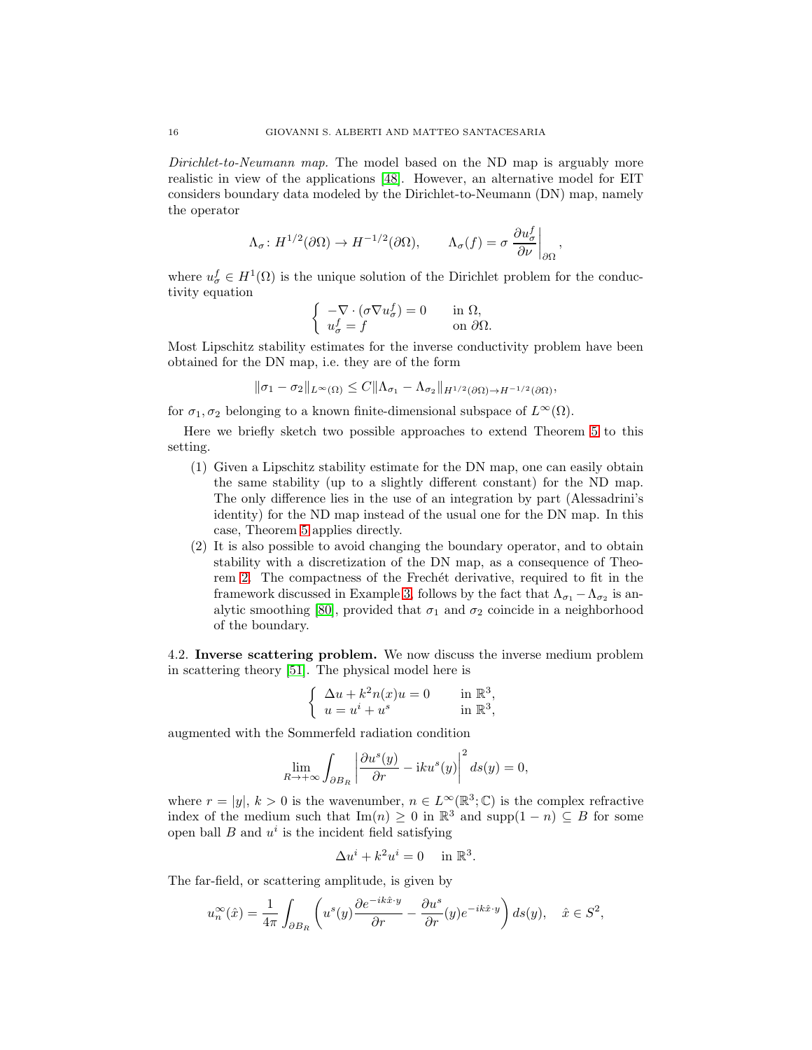Dirichlet-to-Neumann map. The model based on the ND map is arguably more realistic in view of the applications [\[48\]](#page-22-1). However, an alternative model for EIT considers boundary data modeled by the Dirichlet-to-Neumann (DN) map, namely the operator

$$
\Lambda_{\sigma} \colon H^{1/2}(\partial \Omega) \to H^{-1/2}(\partial \Omega), \qquad \Lambda_{\sigma}(f) = \sigma \left. \frac{\partial u_{\sigma}^{f}}{\partial \nu} \right|_{\partial \Omega},
$$

where  $u^f_{\sigma} \in H^1(\Omega)$  is the unique solution of the Dirichlet problem for the conductivity equation

$$
\left\{ \begin{array}{ll} -\nabla\cdot(\sigma\nabla u^f_\sigma)=0 &\quad \text{in }\Omega,\\ u^f_\sigma=f &\quad \text{on }\partial\Omega. \end{array} \right.
$$

Most Lipschitz stability estimates for the inverse conductivity problem have been obtained for the DN map, i.e. they are of the form

$$
\|\sigma_1-\sigma_2\|_{L^{\infty}(\Omega)} \leq C\|\Lambda_{\sigma_1}-\Lambda_{\sigma_2}\|_{H^{1/2}(\partial\Omega)\to H^{-1/2}(\partial\Omega)},
$$

for  $\sigma_1, \sigma_2$  belonging to a known finite-dimensional subspace of  $L^{\infty}(\Omega)$ .

Here we briefly sketch two possible approaches to extend Theorem [5](#page-12-5) to this setting.

- (1) Given a Lipschitz stability estimate for the DN map, one can easily obtain the same stability (up to a slightly different constant) for the ND map. The only difference lies in the use of an integration by part (Alessadrini's identity) for the ND map instead of the usual one for the DN map. In this case, Theorem [5](#page-12-5) applies directly.
- (2) It is also possible to avoid changing the boundary operator, and to obtain stability with a discretization of the DN map, as a consequence of Theo-rem [2.](#page-6-3) The compactness of the Frechét derivative, required to fit in the framework discussed in Example [3,](#page-5-1) follows by the fact that  $\Lambda_{\sigma_1} - \Lambda_{\sigma_2}$  is an-alytic smoothing [\[80\]](#page-24-3), provided that  $\sigma_1$  and  $\sigma_2$  coincide in a neighborhood of the boundary.

4.2. Inverse scattering problem. We now discuss the inverse medium problem in scattering theory [\[51\]](#page-22-2). The physical model here is

$$
\begin{cases} \Delta u + k^2 n(x)u = 0 & \text{in } \mathbb{R}^3, \\ u = u^i + u^s & \text{in } \mathbb{R}^3, \end{cases}
$$

augmented with the Sommerfeld radiation condition

$$
\lim_{R \to +\infty} \int_{\partial B_R} \left| \frac{\partial u^s(y)}{\partial r} - iku^s(y) \right|^2 ds(y) = 0,
$$

where  $r = |y|, k > 0$  is the wavenumber,  $n \in L^{\infty}(\mathbb{R}^{3}; \mathbb{C})$  is the complex refractive index of the medium such that  $\text{Im}(n) \geq 0$  in  $\mathbb{R}^3$  and  $\text{supp}(1 - n) \subseteq B$  for some open ball  $B$  and  $u^i$  is the incident field satisfying

$$
\Delta u^i + k^2 u^i = 0 \quad \text{in } \mathbb{R}^3.
$$

The far-field, or scattering amplitude, is given by

$$
u_n^{\infty}(\hat{x}) = \frac{1}{4\pi} \int_{\partial B_R} \left( u^s(y) \frac{\partial e^{-ik\hat{x} \cdot y}}{\partial r} - \frac{\partial u^s}{\partial r}(y) e^{-ik\hat{x} \cdot y} \right) ds(y), \quad \hat{x} \in S^2,
$$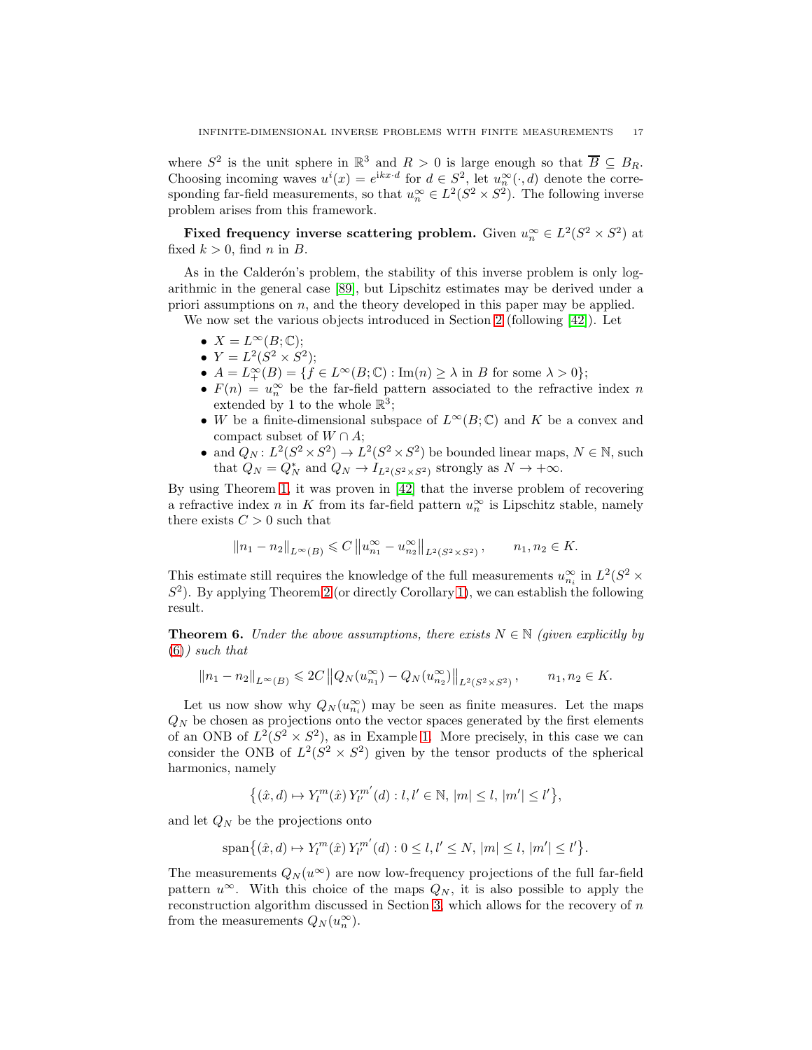where  $S^2$  is the unit sphere in  $\mathbb{R}^3$  and  $R > 0$  is large enough so that  $\overline{B} \subseteq B_R$ . Choosing incoming waves  $u^{i}(x) = e^{ikx \cdot d}$  for  $d \in S^{2}$ , let  $u_{n}^{\infty}(\cdot, d)$  denote the corresponding far-field measurements, so that  $u_n^{\infty} \in L^2(S^2 \times S^2)$ . The following inverse problem arises from this framework.

Fixed frequency inverse scattering problem. Given  $u_n^{\infty} \in L^2(S^2 \times S^2)$  at fixed  $k > 0$ , find n in B.

As in the Calderón's problem, the stability of this inverse problem is only logarithmic in the general case [\[89\]](#page-24-18), but Lipschitz estimates may be derived under a priori assumptions on  $n$ , and the theory developed in this paper may be applied.

We now set the various objects introduced in Section [2](#page-2-0) (following [\[42\]](#page-22-5)). Let

- $X = L^{\infty}(B; \mathbb{C});$
- $Y = L^2(S^2 \times S^2);$
- $A = L^{\infty}_+(B) = \{ f \in L^{\infty}(B; \mathbb{C}) : \text{Im}(n) \ge \lambda \text{ in } B \text{ for some } \lambda > 0 \};$
- $F(n) = u_n^{\infty}$  be the far-field pattern associated to the refractive index n extended by 1 to the whole  $\mathbb{R}^3$ ;
- W be a finite-dimensional subspace of  $L^{\infty}(B; \mathbb{C})$  and K be a convex and compact subset of  $W \cap A$ ;
- and  $Q_N$ :  $L^2(S^2 \times S^2) \to L^2(S^2 \times S^2)$  be bounded linear maps,  $N \in \mathbb{N}$ , such that  $Q_N = Q_N^*$  and  $Q_N \to I_{L^2(S^2 \times S^2)}$  strongly as  $N \to +\infty$ .

By using Theorem [1,](#page-3-5) it was proven in [\[42\]](#page-22-5) that the inverse problem of recovering a refractive index  $n$  in K from its far-field pattern  $u_n^{\infty}$  is Lipschitz stable, namely there exists  $C > 0$  such that

$$
||n_1 - n_2||_{L^{\infty}(B)} \leq C ||u_{n_1}^{\infty} - u_{n_2}^{\infty}||_{L^2(S^2 \times S^2)}, \qquad n_1, n_2 \in K.
$$

This estimate still requires the knowledge of the full measurements  $u_{n_i}^{\infty}$  in  $L^2(S^2 \times$  $S<sup>2</sup>$ ). By applying Theorem [2](#page-6-3) (or directly Corollary [1\)](#page-6-4), we can establish the following result.

<span id="page-16-0"></span>**Theorem 6.** Under the above assumptions, there exists  $N \in \mathbb{N}$  (given explicitly by  $(6)$ ) such that

$$
||n_1 - n_2||_{L^{\infty}(B)} \leq 2C ||Q_N(u_{n_1}^{\infty}) - Q_N(u_{n_2}^{\infty})||_{L^2(S^2 \times S^2)}, \qquad n_1, n_2 \in K.
$$

Let us now show why  $Q_N(u_{n_i}^{\infty})$  may be seen as finite measures. Let the maps  $Q_N$  be chosen as projections onto the vector spaces generated by the first elements of an ONB of  $L^2(S^2 \times S^2)$ , as in Example [1.](#page-4-0) More precisely, in this case we can consider the ONB of  $L^2(S^2 \times S^2)$  given by the tensor products of the spherical harmonics, namely

$$
\big\{ (\hat{x},d) \mapsto Y_l^m(\hat{x}) \, Y_{l'}^{m'}(d) : l,l' \in \mathbb{N}, \, |m| \le l, \, |m'| \le l' \big\},
$$

and let  $\mathbb{Q}_N$  be the projections onto

$$
\text{span}\{(\hat{x},d)\mapsto Y_l^m(\hat{x})\,Y_{l'}^{m'}(d):0\leq l,l'\leq N,\, |m|\leq l,\, |m'|\leq l'\}.
$$

The measurements  $Q_N(u^{\infty})$  are now low-frequency projections of the full far-field pattern  $u^{\infty}$ . With this choice of the maps  $Q_N$ , it is also possible to apply the reconstruction algorithm discussed in Section [3,](#page-9-0) which allows for the recovery of n from the measurements  $Q_N(u_n^{\infty})$ .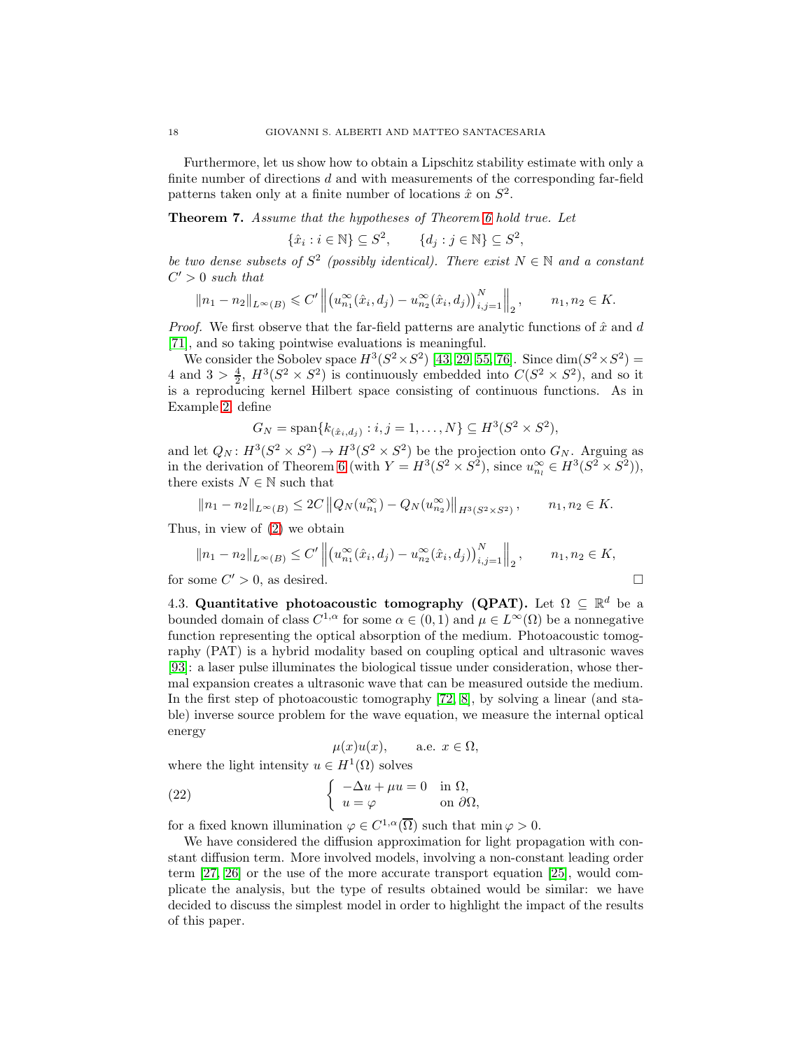Furthermore, let us show how to obtain a Lipschitz stability estimate with only a finite number of directions d and with measurements of the corresponding far-field patterns taken only at a finite number of locations  $\hat{x}$  on  $S^2$ .

Theorem 7. Assume that the hypotheses of Theorem [6](#page-16-0) hold true. Let

 $\{\hat{x}_i : i \in \mathbb{N}\} \subseteq S^2$ ,  $\{d_j : j \in \mathbb{N}\} \subseteq S^2$ ,

be two dense subsets of  $S^2$  (possibly identical). There exist  $N \in \mathbb{N}$  and a constant  $C' > 0$  such that

$$
||n_1 - n_2||_{L^{\infty}(B)} \leq C' ||(u_{n_1}^{\infty}(\hat{x}_i, d_j) - u_{n_2}^{\infty}(\hat{x}_i, d_j))_{i,j=1}^N||_2, \qquad n_1, n_2 \in K.
$$

*Proof.* We first observe that the far-field patterns are analytic functions of  $\hat{x}$  and  $d$ [\[71\]](#page-23-2), and so taking pointwise evaluations is meaningful.

We consider the Sobolev space  $H^3(S^2 \times S^2)$  [\[43,](#page-22-18) [29,](#page-21-15) [55,](#page-23-14) [76\]](#page-24-19). Since  $\dim(S^2 \times S^2)$  = 4 and  $3 > \frac{4}{2}$ ,  $H^3(S^2 \times S^2)$  is continuously embedded into  $C(S^2 \times S^2)$ , and so it is a reproducing kernel Hilbert space consisting of continuous functions. As in Example [2,](#page-4-1) define

$$
G_N = \text{span}\{k_{(\hat{x}_i,d_j)} : i, j = 1,\ldots,N\} \subseteq H^3(S^2 \times S^2),
$$

and let  $Q_N$ :  $H^3(S^2 \times S^2) \to H^3(S^2 \times S^2)$  be the projection onto  $G_N$ . Arguing as in the derivation of Theorem [6](#page-16-0) (with  $Y = H^3(S^2 \times S^2)$ , since  $u_{n_l}^{\infty} \in H^3(S^2 \times S^2)$ ), there exists  $N\in\mathbb{N}$  such that

$$
||n_1 - n_2||_{L^{\infty}(B)} \le 2C ||Q_N(u_{n_1}^{\infty}) - Q_N(u_{n_2}^{\infty})||_{H^3(S^2 \times S^2)}, \qquad n_1, n_2 \in K.
$$

Thus, in view of [\(2\)](#page-5-3) we obtain

$$
||n_1 - n_2||_{L^{\infty}(B)} \le C' ||(u_{n_1}^{\infty}(\hat{x}_i, d_j) - u_{n_2}^{\infty}(\hat{x}_i, d_j))_{i,j=1}^N||_2, \qquad n_1, n_2 \in K,
$$
  
for some  $C' > 0$ , as desired.

4.3. Quantitative photoacoustic tomography (QPAT). Let  $\Omega \subseteq \mathbb{R}^d$  be a bounded domain of class  $C^{1,\alpha}$  for some  $\alpha \in (0,1)$  and  $\mu \in L^{\infty}(\Omega)$  be a nonnegative function representing the optical absorption of the medium. Photoacoustic tomography (PAT) is a hybrid modality based on coupling optical and ultrasonic waves [\[93\]](#page-24-1): a laser pulse illuminates the biological tissue under consideration, whose thermal expansion creates a ultrasonic wave that can be measured outside the medium. In the first step of photoacoustic tomography [\[72,](#page-23-3) [8\]](#page-20-0), by solving a linear (and stable) inverse source problem for the wave equation, we measure the internal optical energy

<span id="page-17-0"></span>
$$
\mu(x)u(x), \qquad \text{a.e. } x \in \Omega,
$$

where the light intensity  $u \in H^1(\Omega)$  solves

(22) 
$$
\begin{cases}\n-\Delta u + \mu u = 0 & \text{in } \Omega, \\
u = \varphi & \text{on } \partial \Omega,\n\end{cases}
$$

for a fixed known illumination  $\varphi \in C^{1,\alpha}(\overline{\Omega})$  such that  $\min \varphi > 0$ .

We have considered the diffusion approximation for light propagation with constant diffusion term. More involved models, involving a non-constant leading order term [\[27,](#page-21-16) [26\]](#page-21-17) or the use of the more accurate transport equation [\[25\]](#page-21-18), would complicate the analysis, but the type of results obtained would be similar: we have decided to discuss the simplest model in order to highlight the impact of the results of this paper.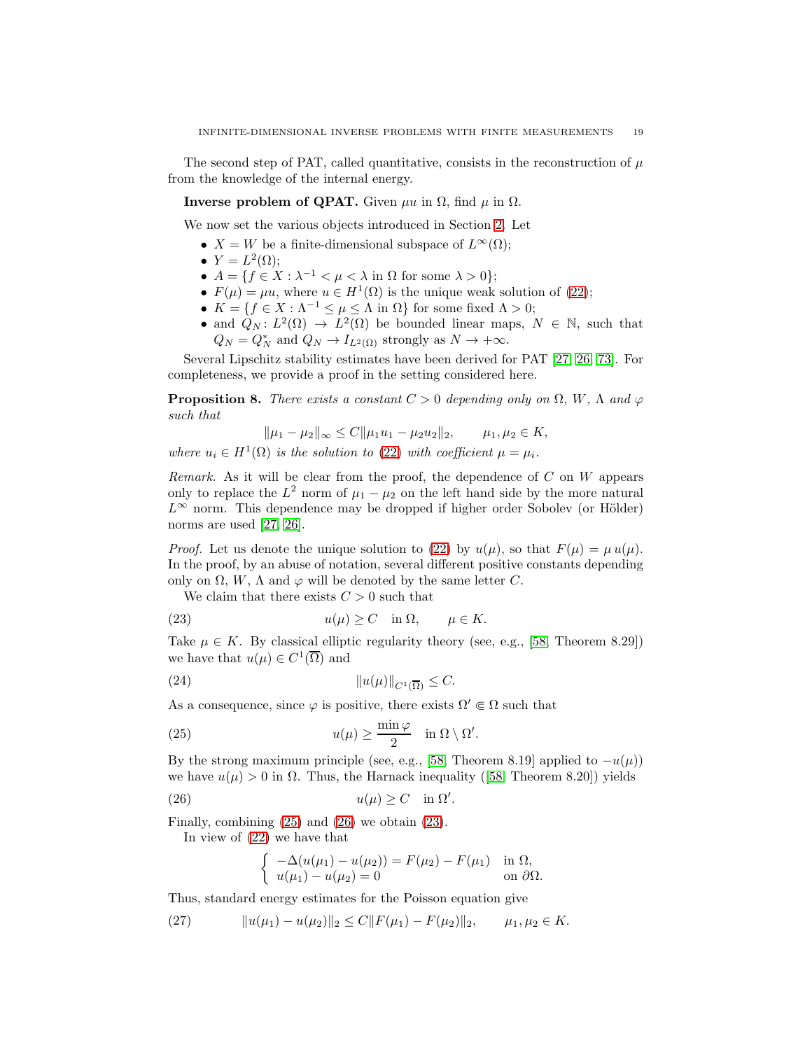The second step of PAT, called quantitative, consists in the reconstruction of  $\mu$ from the knowledge of the internal energy.

**Inverse problem of QPAT.** Given  $\mu u$  in  $\Omega$ , find  $\mu$  in  $\Omega$ .

We now set the various objects introduced in Section [2.](#page-2-0) Let

- $X = W$  be a finite-dimensional subspace of  $L^{\infty}(\Omega)$ ;
- $Y = L^2(\Omega);$
- $A = \{f \in X : \lambda^{-1} < \mu < \lambda \text{ in } \Omega \text{ for some } \lambda > 0\};$
- $F(\mu) = \mu u$ , where  $u \in H^1(\Omega)$  is the unique weak solution of [\(22\)](#page-17-0);
- $K = \{f \in X : \Lambda^{-1} \le \mu \le \Lambda \text{ in } \Omega\}$  for some fixed  $\Lambda > 0$ ;
- and  $Q_N: L^2(\Omega) \to L^2(\Omega)$  be bounded linear maps,  $N \in \mathbb{N}$ , such that  $Q_N = Q_N^*$  and  $Q_N \to I_{L^2(\Omega)}$  strongly as  $N \to +\infty$ .

Several Lipschitz stability estimates have been derived for PAT [\[27,](#page-21-16) [26,](#page-21-17) [73\]](#page-23-16). For completeness, we provide a proof in the setting considered here.

**Proposition 8.** There exists a constant  $C > 0$  depending only on  $\Omega$ , W,  $\Lambda$  and  $\varphi$ such that

$$
\|\mu_1 - \mu_2\|_{\infty} \le C \|\mu_1 u_1 - \mu_2 u_2\|_2, \qquad \mu_1, \mu_2 \in K,
$$

where  $u_i \in H^1(\Omega)$  is the solution to [\(22\)](#page-17-0) with coefficient  $\mu = \mu_i$ .

Remark. As it will be clear from the proof, the dependence of  $C$  on  $W$  appears only to replace the  $L^2$  norm of  $\mu_1 - \mu_2$  on the left hand side by the more natural  $L^{\infty}$  norm. This dependence may be dropped if higher order Sobolev (or Hölder) norms are used [\[27,](#page-21-16) [26\]](#page-21-17).

*Proof.* Let us denote the unique solution to [\(22\)](#page-17-0) by  $u(\mu)$ , so that  $F(\mu) = \mu u(\mu)$ . In the proof, by an abuse of notation, several different positive constants depending only on  $\Omega$ , W,  $\Lambda$  and  $\varphi$  will be denoted by the same letter C.

<span id="page-18-2"></span>We claim that there exists  $C > 0$  such that

(23) 
$$
u(\mu) \ge C \quad \text{in } \Omega, \qquad \mu \in K.
$$

Take  $\mu \in K$ . By classical elliptic regularity theory (see, e.g., [\[58,](#page-23-17) Theorem 8.29]) we have that  $u(\mu) \in C^1(\overline{\Omega})$  and

<span id="page-18-3"></span>(24) ku(µ)kC1(Ω) ≤ C.

As a consequence, since  $\varphi$  is positive, there exists  $\Omega' \in \Omega$  such that

(25) 
$$
u(\mu) \ge \frac{\min \varphi}{2} \quad \text{in } \Omega \setminus \Omega'.
$$

By the strong maximum principle (see, e.g., [\[58,](#page-23-17) Theorem 8.19] applied to  $-u(\mu)$ ) we have  $u(\mu) > 0$  in  $\Omega$ . Thus, the Harnack inequality ([\[58,](#page-23-17) Theorem 8.20]) yields

(26) 
$$
u(\mu) \ge C \quad \text{in } \Omega'.
$$

Finally, combining [\(25\)](#page-18-0) and [\(26\)](#page-18-1) we obtain [\(23\)](#page-18-2).

In view of [\(22\)](#page-17-0) we have that

<span id="page-18-4"></span><span id="page-18-1"></span><span id="page-18-0"></span>
$$
\begin{cases}\n-\Delta(u(\mu_1) - u(\mu_2)) = F(\mu_2) - F(\mu_1) & \text{in } \Omega, \\
u(\mu_1) - u(\mu_2) = 0 & \text{on } \partial\Omega.\n\end{cases}
$$

Thus, standard energy estimates for the Poisson equation give

$$
(27) \t\t\t ||u(\mu_1) - u(\mu_2)||_2 \le C ||F(\mu_1) - F(\mu_2)||_2, \t\t \mu_1, \mu_2 \in K.
$$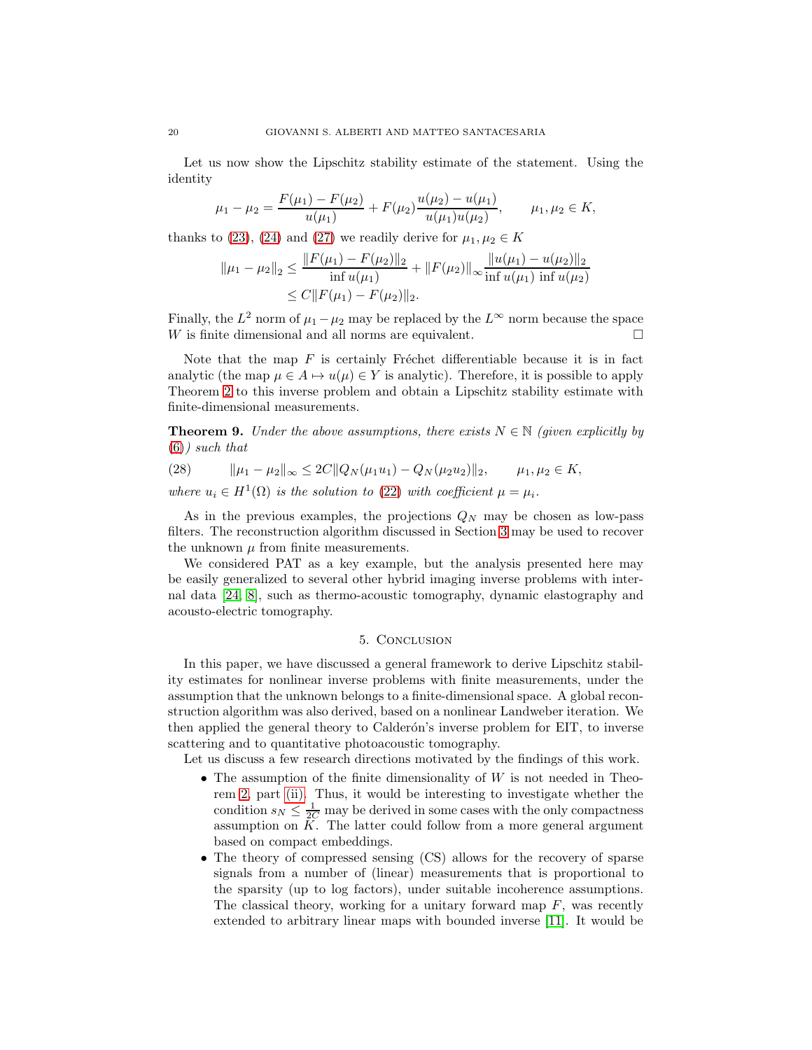Let us now show the Lipschitz stability estimate of the statement. Using the identity

$$
\mu_1 - \mu_2 = \frac{F(\mu_1) - F(\mu_2)}{u(\mu_1)} + F(\mu_2) \frac{u(\mu_2) - u(\mu_1)}{u(\mu_1)u(\mu_2)}, \qquad \mu_1, \mu_2 \in K,
$$

thanks to [\(23\)](#page-18-2), [\(24\)](#page-18-3) and [\(27\)](#page-18-4) we readily derive for  $\mu_1, \mu_2 \in K$ 

$$
\|\mu_1 - \mu_2\|_2 \le \frac{\|F(\mu_1) - F(\mu_2)\|_2}{\inf u(\mu_1)} + \|F(\mu_2)\|_{\infty} \frac{\|u(\mu_1) - u(\mu_2)\|_2}{\inf u(\mu_1) \inf u(\mu_2)}
$$
  

$$
\le C \|F(\mu_1) - F(\mu_2)\|_2.
$$

Finally, the  $L^2$  norm of  $\mu_1 - \mu_2$  may be replaced by the  $L^{\infty}$  norm because the space  $W$  is finite dimensional and all norms are equivalent.  $\square$ 

Note that the map  $F$  is certainly Fréchet differentiable because it is in fact analytic (the map  $\mu \in A \mapsto u(\mu) \in Y$  is analytic). Therefore, it is possible to apply Theorem [2](#page-6-3) to this inverse problem and obtain a Lipschitz stability estimate with finite-dimensional measurements.

**Theorem 9.** Under the above assumptions, there exists  $N \in \mathbb{N}$  (given explicitly by  $(6)$ ) such that

$$
(28) \t\t ||\mu_1 - \mu_2||_{\infty} \leq 2C||Q_N(\mu_1 u_1) - Q_N(\mu_2 u_2)||_2, \t \mu_1, \mu_2 \in K,
$$

where  $u_i \in H^1(\Omega)$  is the solution to [\(22\)](#page-17-0) with coefficient  $\mu = \mu_i$ .

As in the previous examples, the projections  $Q_N$  may be chosen as low-pass filters. The reconstruction algorithm discussed in Section [3](#page-9-0) may be used to recover the unknown  $\mu$  from finite measurements.

We considered PAT as a key example, but the analysis presented here may be easily generalized to several other hybrid imaging inverse problems with internal data [\[24,](#page-21-19) [8\]](#page-20-0), such as thermo-acoustic tomography, dynamic elastography and acousto-electric tomography.

## 5. Conclusion

<span id="page-19-0"></span>In this paper, we have discussed a general framework to derive Lipschitz stability estimates for nonlinear inverse problems with finite measurements, under the assumption that the unknown belongs to a finite-dimensional space. A global reconstruction algorithm was also derived, based on a nonlinear Landweber iteration. We then applied the general theory to Calderón's inverse problem for EIT, to inverse scattering and to quantitative photoacoustic tomography.

Let us discuss a few research directions motivated by the findings of this work.

- The assumption of the finite dimensionality of  $W$  is not needed in Theorem [2,](#page-6-3) part [\(ii\).](#page-6-1) Thus, it would be interesting to investigate whether the condition  $s_N \leq \frac{1}{2C}$  may be derived in some cases with the only compactness assumption on  $K$ . The latter could follow from a more general argument based on compact embeddings.
- The theory of compressed sensing (CS) allows for the recovery of sparse signals from a number of (linear) measurements that is proportional to the sparsity (up to log factors), under suitable incoherence assumptions. The classical theory, working for a unitary forward map  $F$ , was recently extended to arbitrary linear maps with bounded inverse [\[11\]](#page-20-5). It would be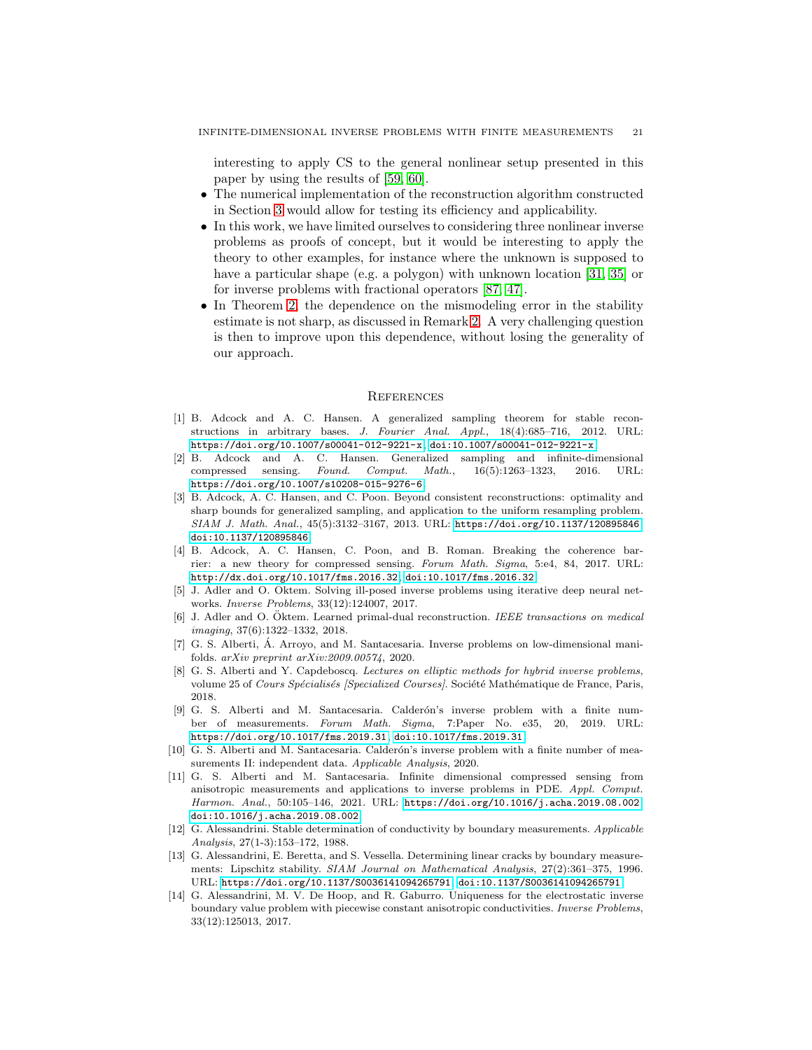interesting to apply CS to the general nonlinear setup presented in this paper by using the results of [\[59,](#page-23-18) [60\]](#page-23-19).

- The numerical implementation of the reconstruction algorithm constructed in Section [3](#page-9-0) would allow for testing its efficiency and applicability.
- In this work, we have limited ourselves to considering three nonlinear inverse problems as proofs of concept, but it would be interesting to apply the theory to other examples, for instance where the unknown is supposed to have a particular shape (e.g. a polygon) with unknown location [\[31,](#page-21-4) [35\]](#page-22-8) or for inverse problems with fractional operators [\[87,](#page-24-5) [47\]](#page-22-19).
- In Theorem [2,](#page-6-3) the dependence on the mismodeling error in the stability estimate is not sharp, as discussed in Remark [2.](#page-6-6) A very challenging question is then to improve upon this dependence, without losing the generality of our approach.

#### **REFERENCES**

- <span id="page-20-10"></span>[1] B. Adcock and A. C. Hansen. A generalized sampling theorem for stable reconstructions in arbitrary bases. J. Fourier Anal. Appl., 18(4):685–716, 2012. URL: <https://doi.org/10.1007/s00041-012-9221-x>, [doi:10.1007/s00041-012-9221-x](http://dx.doi.org/10.1007/s00041-012-9221-x).
- <span id="page-20-12"></span>[2] B. Adcock and A. C. Hansen. Generalized sampling and infinite-dimensional compressed sensing. Found. Comput. Math., 16(5):1263–1323, 2016. URL: <https://doi.org/10.1007/s10208-015-9276-6>.
- <span id="page-20-11"></span>[3] B. Adcock, A. C. Hansen, and C. Poon. Beyond consistent reconstructions: optimality and sharp bounds for generalized sampling, and application to the uniform resampling problem. SIAM J. Math. Anal., 45(5):3132–3167, 2013. URL: <https://doi.org/10.1137/120895846>, [doi:10.1137/120895846](http://dx.doi.org/10.1137/120895846).
- <span id="page-20-13"></span>[4] B. Adcock, A. C. Hansen, C. Poon, and B. Roman. Breaking the coherence barrier: a new theory for compressed sensing. Forum Math. Sigma, 5:e4, 84, 2017. URL: <http://dx.doi.org/10.1017/fms.2016.32>, [doi:10.1017/fms.2016.32](http://dx.doi.org/10.1017/fms.2016.32).
- <span id="page-20-8"></span>[5] J. Adler and O. Oktem. Solving ill-posed inverse problems using iterative deep neural networks. Inverse Problems, 33(12):124007, 2017.
- <span id="page-20-9"></span>[6] J. Adler and O. Öktem. Learned primal-dual reconstruction. IEEE transactions on medical imaging, 37(6):1322–1332, 2018.
- <span id="page-20-7"></span>[7] G. S. Alberti, Á. Arroyo, and M. Santacesaria. Inverse problems on low-dimensional manifolds. arXiv preprint arXiv:2009.00574, 2020.
- <span id="page-20-0"></span>[8] G. S. Alberti and Y. Capdeboscq. Lectures on elliptic methods for hybrid inverse problems, volume 25 of Cours Spécialisés [Specialized Courses]. Société Mathématique de France, Paris, 2018.
- <span id="page-20-4"></span>[9] G. S. Alberti and M. Santacesaria. Calderón's inverse problem with a finite number of measurements. Forum Math. Sigma, 7:Paper No. e35, 20, 2019. URL: <https://doi.org/10.1017/fms.2019.31>, [doi:10.1017/fms.2019.31](http://dx.doi.org/10.1017/fms.2019.31).
- <span id="page-20-6"></span>[10] G. S. Alberti and M. Santacesaria. Calderón's inverse problem with a finite number of measurements II: independent data. Applicable Analysis, 2020.
- <span id="page-20-5"></span>[11] G. S. Alberti and M. Santacesaria. Infinite dimensional compressed sensing from anisotropic measurements and applications to inverse problems in PDE. Appl. Comput. Harmon. Anal., 50:105–146, 2021. URL: <https://doi.org/10.1016/j.acha.2019.08.002>, [doi:10.1016/j.acha.2019.08.002](http://dx.doi.org/10.1016/j.acha.2019.08.002).
- <span id="page-20-1"></span>[12] G. Alessandrini. Stable determination of conductivity by boundary measurements. Applicable Analysis, 27(1-3):153–172, 1988.
- <span id="page-20-2"></span>[13] G. Alessandrini, E. Beretta, and S. Vessella. Determining linear cracks by boundary measurements: Lipschitz stability. SIAM Journal on Mathematical Analysis, 27(2):361–375, 1996. URL: <https://doi.org/10.1137/S0036141094265791>, [doi:10.1137/S0036141094265791](http://dx.doi.org/10.1137/S0036141094265791).
- <span id="page-20-3"></span>[14] G. Alessandrini, M. V. De Hoop, and R. Gaburro. Uniqueness for the electrostatic inverse boundary value problem with piecewise constant anisotropic conductivities. Inverse Problems, 33(12):125013, 2017.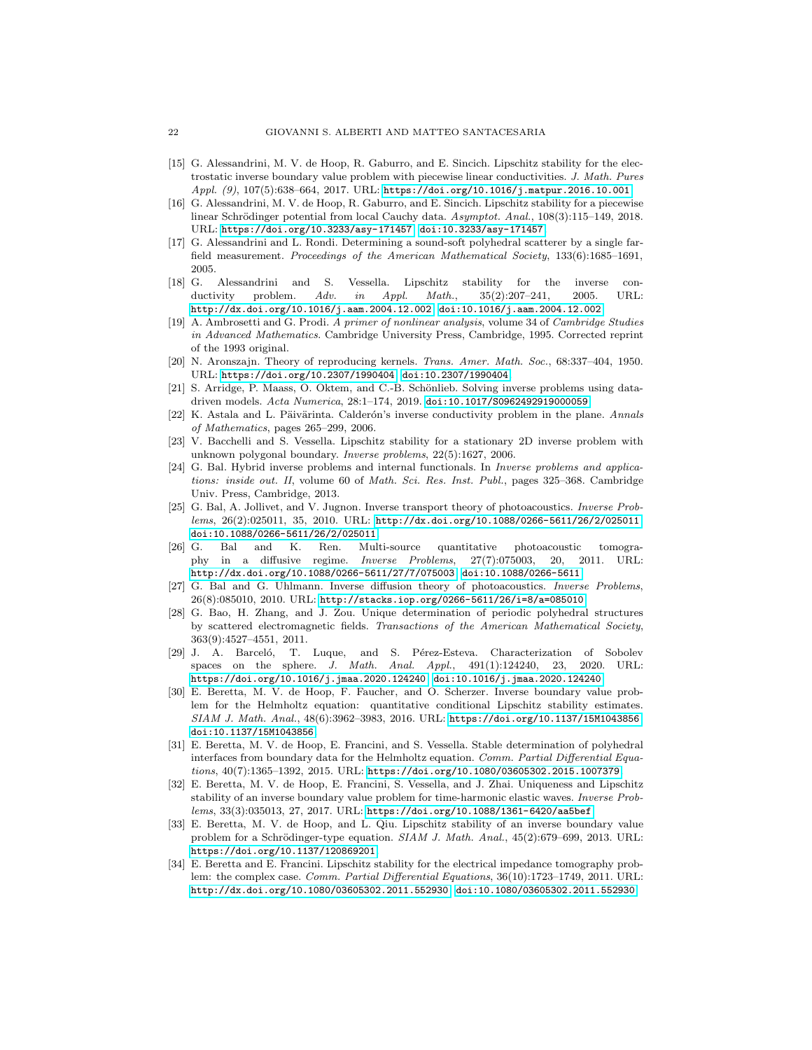- <span id="page-21-7"></span>[15] G. Alessandrini, M. V. de Hoop, R. Gaburro, and E. Sincich. Lipschitz stability for the electrostatic inverse boundary value problem with piecewise linear conductivities. J. Math. Pures Appl.  $(9)$ , 107(5):638-664, 2017. URL: <https://doi.org/10.1016/j.matpur.2016.10.001>.
- <span id="page-21-8"></span>[16] G. Alessandrini, M. V. de Hoop, R. Gaburro, and E. Sincich. Lipschitz stability for a piecewise linear Schrödinger potential from local Cauchy data. Asymptot. Anal., 108(3):115-149, 2018. URL: <https://doi.org/10.3233/asy-171457>, [doi:10.3233/asy-171457](http://dx.doi.org/10.3233/asy-171457).
- <span id="page-21-9"></span>[17] G. Alessandrini and L. Rondi. Determining a sound-soft polyhedral scatterer by a single farfield measurement. Proceedings of the American Mathematical Society, 133(6):1685-1691, 2005.
- <span id="page-21-0"></span>[18] G. Alessandrini and S. Vessella. Lipschitz stability for the inverse conductivity problem. Adv. in Appl. Math., 35(2):207-241, 2005. URL: <http://dx.doi.org/10.1016/j.aam.2004.12.002>, [doi:10.1016/j.aam.2004.12.002](http://dx.doi.org/10.1016/j.aam.2004.12.002).
- <span id="page-21-13"></span>[19] A. Ambrosetti and G. Prodi. A primer of nonlinear analysis, volume 34 of Cambridge Studies in Advanced Mathematics. Cambridge University Press, Cambridge, 1995. Corrected reprint of the 1993 original.
- <span id="page-21-12"></span>[20] N. Aronszajn. Theory of reproducing kernels. Trans. Amer. Math. Soc., 68:337–404, 1950. URL: <https://doi.org/10.2307/1990404>, [doi:10.2307/1990404](http://dx.doi.org/10.2307/1990404).
- <span id="page-21-11"></span>[21] S. Arridge, P. Maass, O. Öktem, and C.-B. Schönlieb. Solving inverse problems using datadriven models. Acta Numerica, 28:1-174, 2019. [doi:10.1017/S0962492919000059](http://dx.doi.org/10.1017/S0962492919000059).
- <span id="page-21-14"></span>[22] K. Astala and L. Päivärinta. Calderón's inverse conductivity problem in the plane. Annals of Mathematics, pages 265–299, 2006.
- <span id="page-21-1"></span>[23] V. Bacchelli and S. Vessella. Lipschitz stability for a stationary 2D inverse problem with unknown polygonal boundary. Inverse problems, 22(5):1627, 2006.
- <span id="page-21-19"></span>[24] G. Bal. Hybrid inverse problems and internal functionals. In Inverse problems and applications: inside out. II, volume 60 of Math. Sci. Res. Inst. Publ., pages 325-368. Cambridge Univ. Press, Cambridge, 2013.
- <span id="page-21-18"></span>[25] G. Bal, A. Jollivet, and V. Jugnon. Inverse transport theory of photoacoustics. Inverse Problems, 26(2):025011, 35, 2010. URL: <http://dx.doi.org/10.1088/0266-5611/26/2/025011>, [doi:10.1088/0266-5611/26/2/025011](http://dx.doi.org/10.1088/0266-5611/26/2/025011).
- <span id="page-21-17"></span>[26] G. Bal and K. Ren. Multi-source quantitative photoacoustic tomography in a diffusive regime. Inverse Problems, 27(7):075003, 20, 2011. URL: <http://dx.doi.org/10.1088/0266-5611/27/7/075003>, [doi:10.1088/0266-5611](http://dx.doi.org/10.1088/0266-5611).
- <span id="page-21-16"></span>[27] G. Bal and G. Uhlmann. Inverse diffusion theory of photoacoustics. Inverse Problems, 26(8):085010, 2010. URL: <http://stacks.iop.org/0266-5611/26/i=8/a=085010>.
- <span id="page-21-10"></span>[28] G. Bao, H. Zhang, and J. Zou. Unique determination of periodic polyhedral structures by scattered electromagnetic fields. Transactions of the American Mathematical Society, 363(9):4527–4551, 2011.
- <span id="page-21-15"></span>[29] J. A. Barceló, T. Luque, and S. Pérez-Esteva. Characterization of Sobolev spaces on the sphere. J. Math. Anal. Appl., 491(1):124240, 23, 2020. URL: <https://doi.org/10.1016/j.jmaa.2020.124240>, [doi:10.1016/j.jmaa.2020.124240](http://dx.doi.org/10.1016/j.jmaa.2020.124240).
- <span id="page-21-5"></span>[30] E. Beretta, M. V. de Hoop, F. Faucher, and O. Scherzer. Inverse boundary value problem for the Helmholtz equation: quantitative conditional Lipschitz stability estimates. SIAM J. Math. Anal., 48(6):3962–3983, 2016. URL: <https://doi.org/10.1137/15M1043856>, [doi:10.1137/15M1043856](http://dx.doi.org/10.1137/15M1043856).
- <span id="page-21-4"></span>[31] E. Beretta, M. V. de Hoop, E. Francini, and S. Vessella. Stable determination of polyhedral interfaces from boundary data for the Helmholtz equation. Comm. Partial Differential Equations, 40(7):1365–1392, 2015. URL: <https://doi.org/10.1080/03605302.2015.1007379>.
- <span id="page-21-6"></span>[32] E. Beretta, M. V. de Hoop, E. Francini, S. Vessella, and J. Zhai. Uniqueness and Lipschitz stability of an inverse boundary value problem for time-harmonic elastic waves. Inverse Problems, 33(3):035013, 27, 2017. URL: <https://doi.org/10.1088/1361-6420/aa5bef>.
- <span id="page-21-3"></span>[33] E. Beretta, M. V. de Hoop, and L. Qiu. Lipschitz stability of an inverse boundary value problem for a Schrödinger-type equation. SIAM J. Math. Anal., 45(2):679–699, 2013. URL: <https://doi.org/10.1137/120869201>.
- <span id="page-21-2"></span>[34] E. Beretta and E. Francini. Lipschitz stability for the electrical impedance tomography problem: the complex case. Comm. Partial Differential Equations, 36(10):1723–1749, 2011. URL: <http://dx.doi.org/10.1080/03605302.2011.552930>, [doi:10.1080/03605302.2011.552930](http://dx.doi.org/10.1080/03605302.2011.552930).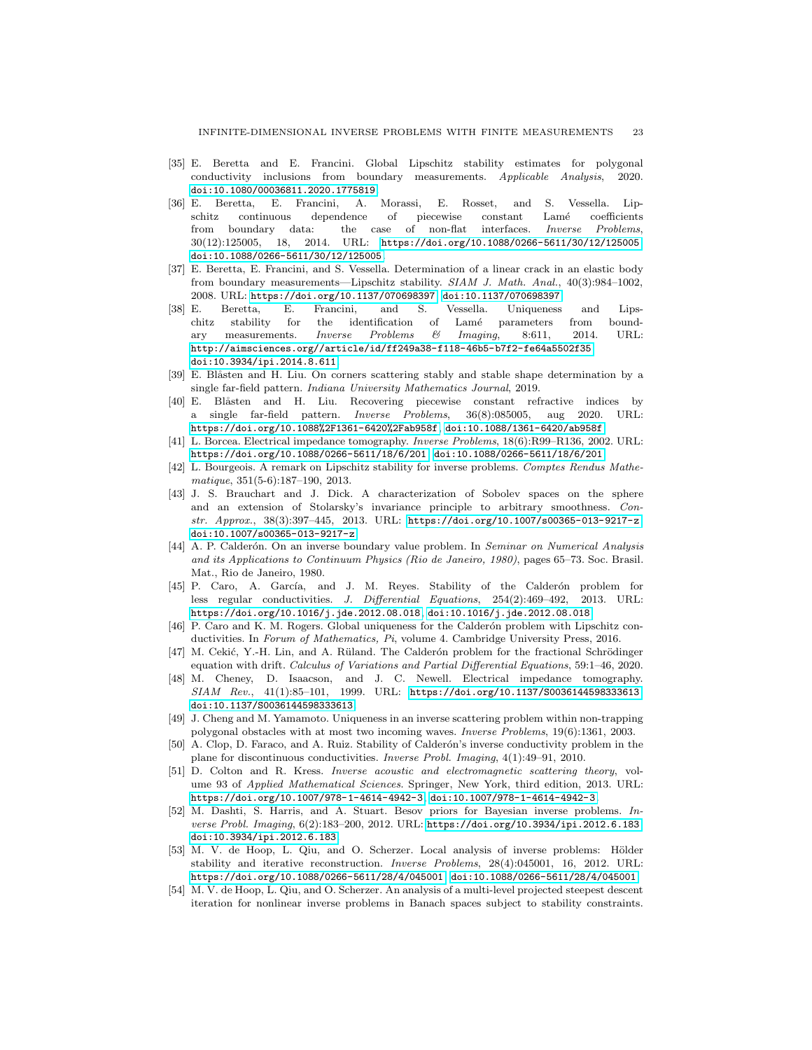- <span id="page-22-8"></span>[35] E. Beretta and E. Francini. Global Lipschitz stability estimates for polygonal conductivity inclusions from boundary measurements. Applicable Analysis, 2020. [doi:10.1080/00036811.2020.1775819](http://dx.doi.org/10.1080/00036811.2020.1775819).
- <span id="page-22-7"></span>[36] E. Beretta, E. Francini, A. Morassi, E. Rosset, and S. Vessella. Lipschitz continuous dependence of piecewise constant Lamé coefficients from boundary data: the case of non-flat interfaces. Inverse Problems, 30(12):125005, 18, 2014. URL: <https://doi.org/10.1088/0266-5611/30/12/125005>, [doi:10.1088/0266-5611/30/12/125005](http://dx.doi.org/10.1088/0266-5611/30/12/125005).
- <span id="page-22-4"></span>[37] E. Beretta, E. Francini, and S. Vessella. Determination of a linear crack in an elastic body from boundary measurements—Lipschitz stability. SIAM J. Math. Anal., 40(3):984–1002, 2008. URL: <https://doi.org/10.1137/070698397>, [doi:10.1137/070698397](http://dx.doi.org/10.1137/070698397).
- <span id="page-22-6"></span>[38] E. Beretta, E. Francini, and S. Vessella. Uniqueness and Lipschitz stability for the identification of Lamé parameters from boundary measurements. Inverse Problems & Imaging, 8:611, 2014. URL: <http://aimsciences.org//article/id/ff249a38-f118-46b5-b7f2-fe64a5502f35>, [doi:10.3934/ipi.2014.8.611](http://dx.doi.org/10.3934/ipi.2014.8.611).
- <span id="page-22-10"></span>[39] E. Blåsten and H. Liu. On corners scattering stably and stable shape determination by a single far-field pattern. Indiana University Mathematics Journal, 2019.
- <span id="page-22-11"></span>[40] E. Blåsten and H. Liu. Recovering piecewise constant refractive indices by a single far-field pattern. Inverse Problems, 36(8):085005, aug 2020. URL: <https://doi.org/10.1088%2F1361-6420%2Fab958f>, [doi:10.1088/1361-6420/ab958f](http://dx.doi.org/10.1088/1361-6420/ab958f).
- <span id="page-22-14"></span>[41] L. Borcea. Electrical impedance tomography. Inverse Problems, 18(6):R99–R136, 2002. URL: <https://doi.org/10.1088/0266-5611/18/6/201>, [doi:10.1088/0266-5611/18/6/201](http://dx.doi.org/10.1088/0266-5611/18/6/201).
- <span id="page-22-5"></span>[42] L. Bourgeois. A remark on Lipschitz stability for inverse problems. Comptes Rendus Mathematique, 351(5-6):187–190, 2013.
- <span id="page-22-18"></span>[43] J. S. Brauchart and J. Dick. A characterization of Sobolev spaces on the sphere and an extension of Stolarsky's invariance principle to arbitrary smoothness. Constr. Approx., 38(3):397–445, 2013. URL: <https://doi.org/10.1007/s00365-013-9217-z>, [doi:10.1007/s00365-013-9217-z](http://dx.doi.org/10.1007/s00365-013-9217-z).
- <span id="page-22-0"></span>[44] A. P. Calderón. On an inverse boundary value problem. In Seminar on Numerical Analysis and its Applications to Continuum Physics (Rio de Janeiro, 1980), pages 65–73. Soc. Brasil. Mat., Rio de Janeiro, 1980.
- <span id="page-22-17"></span>[45] P. Caro, A. García, and J. M. Reyes. Stability of the Calderón problem for less regular conductivities. J. Differential Equations, 254(2):469–492, 2013. URL: <https://doi.org/10.1016/j.jde.2012.08.018>, [doi:10.1016/j.jde.2012.08.018](http://dx.doi.org/10.1016/j.jde.2012.08.018).
- <span id="page-22-15"></span>[46] P. Caro and K. M. Rogers. Global uniqueness for the Calderón problem with Lipschitz conductivities. In Forum of Mathematics, Pi, volume 4. Cambridge University Press, 2016.
- <span id="page-22-19"></span>[47] M. Cekić, Y.-H. Lin, and A. Rüland. The Calderón problem for the fractional Schrödinger equation with drift. Calculus of Variations and Partial Differential Equations, 59:1–46, 2020.
- <span id="page-22-1"></span>[48] M. Cheney, D. Isaacson, and J. C. Newell. Electrical impedance tomography. SIAM Rev., 41(1):85–101, 1999. URL: <https://doi.org/10.1137/S0036144598333613>, [doi:10.1137/S0036144598333613](http://dx.doi.org/10.1137/S0036144598333613).
- <span id="page-22-9"></span>[49] J. Cheng and M. Yamamoto. Uniqueness in an inverse scattering problem within non-trapping polygonal obstacles with at most two incoming waves. Inverse Problems, 19(6):1361, 2003.
- <span id="page-22-16"></span>[50] A. Clop, D. Faraco, and A. Ruiz. Stability of Calderón's inverse conductivity problem in the plane for discontinuous conductivities. Inverse Probl. Imaging, 4(1):49–91, 2010.
- <span id="page-22-2"></span>[51] D. Colton and R. Kress. Inverse acoustic and electromagnetic scattering theory, volume 93 of Applied Mathematical Sciences. Springer, New York, third edition, 2013. URL: <https://doi.org/10.1007/978-1-4614-4942-3>, [doi:10.1007/978-1-4614-4942-3](http://dx.doi.org/10.1007/978-1-4614-4942-3).
- <span id="page-22-12"></span>[52] M. Dashti, S. Harris, and A. Stuart. Besov priors for Bayesian inverse problems. Inverse Probl. Imaging, 6(2):183–200, 2012. URL: <https://doi.org/10.3934/ipi.2012.6.183>, [doi:10.3934/ipi.2012.6.183](http://dx.doi.org/10.3934/ipi.2012.6.183).
- <span id="page-22-3"></span>[53] M. V. de Hoop, L. Qiu, and O. Scherzer. Local analysis of inverse problems: Hölder stability and iterative reconstruction. Inverse Problems, 28(4):045001, 16, 2012. URL: <https://doi.org/10.1088/0266-5611/28/4/045001>, [doi:10.1088/0266-5611/28/4/045001](http://dx.doi.org/10.1088/0266-5611/28/4/045001).
- <span id="page-22-13"></span>[54] M. V. de Hoop, L. Qiu, and O. Scherzer. An analysis of a multi-level projected steepest descent iteration for nonlinear inverse problems in Banach spaces subject to stability constraints.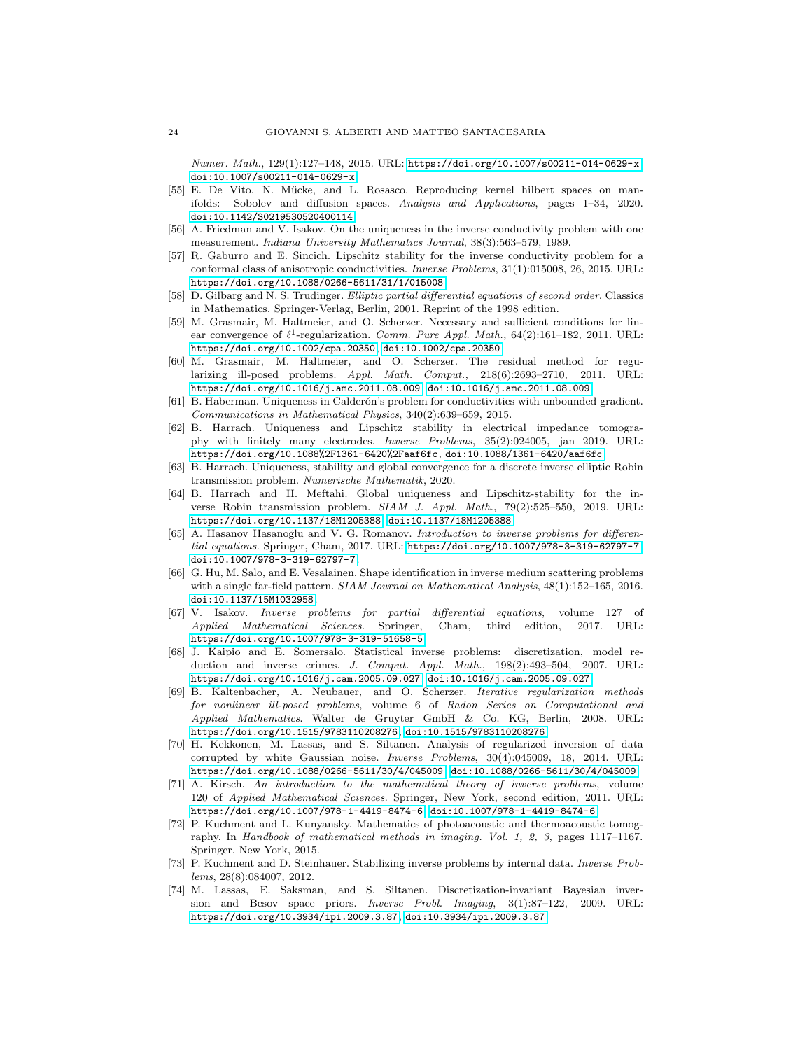Numer. Math., 129(1):127–148, 2015. URL: <https://doi.org/10.1007/s00211-014-0629-x>, [doi:10.1007/s00211-014-0629-x](http://dx.doi.org/10.1007/s00211-014-0629-x).

- <span id="page-23-14"></span>[55] E. De Vito, N. Mücke, and L. Rosasco. Reproducing kernel hilbert spaces on manifolds: Sobolev and diffusion spaces. Analysis and Applications, pages 1–34, 2020. [doi:10.1142/S0219530520400114](http://dx.doi.org/10.1142/S0219530520400114).
- <span id="page-23-7"></span>[56] A. Friedman and V. Isakov. On the uniqueness in the inverse conductivity problem with one measurement. Indiana University Mathematics Journal, 38(3):563–579, 1989.
- <span id="page-23-4"></span>[57] R. Gaburro and E. Sincich. Lipschitz stability for the inverse conductivity problem for a conformal class of anisotropic conductivities. Inverse Problems, 31(1):015008, 26, 2015. URL: <https://doi.org/10.1088/0266-5611/31/1/015008>.
- <span id="page-23-17"></span>[58] D. Gilbarg and N. S. Trudinger. Elliptic partial differential equations of second order. Classics in Mathematics. Springer-Verlag, Berlin, 2001. Reprint of the 1998 edition.
- <span id="page-23-18"></span>[59] M. Grasmair, M. Haltmeier, and O. Scherzer. Necessary and sufficient conditions for linear convergence of  $\ell^1$ -regularization. Comm. Pure Appl. Math., 64(2):161-182, 2011. URL: <https://doi.org/10.1002/cpa.20350>, [doi:10.1002/cpa.20350](http://dx.doi.org/10.1002/cpa.20350).
- <span id="page-23-19"></span>[60] M. Grasmair, M. Haltmeier, and O. Scherzer. The residual method for regularizing ill-posed problems. Appl. Math. Comput., 218(6):2693–2710, 2011. URL: <https://doi.org/10.1016/j.amc.2011.08.009>, [doi:10.1016/j.amc.2011.08.009](http://dx.doi.org/10.1016/j.amc.2011.08.009).
- <span id="page-23-15"></span>[61] B. Haberman. Uniqueness in Calderón's problem for conductivities with unbounded gradient. Communications in Mathematical Physics, 340(2):639–659, 2015.
- <span id="page-23-6"></span>[62] B. Harrach. Uniqueness and Lipschitz stability in electrical impedance tomography with finitely many electrodes. Inverse Problems, 35(2):024005, jan 2019. URL: <https://doi.org/10.1088%2F1361-6420%2Faaf6fc>, [doi:10.1088/1361-6420/aaf6fc](http://dx.doi.org/10.1088/1361-6420/aaf6fc).
- <span id="page-23-9"></span>[63] B. Harrach. Uniqueness, stability and global convergence for a discrete inverse elliptic Robin transmission problem. Numerische Mathematik, 2020.
- <span id="page-23-5"></span>[64] B. Harrach and H. Meftahi. Global uniqueness and Lipschitz-stability for the inverse Robin transmission problem. SIAM J. Appl. Math., 79(2):525–550, 2019. URL: <https://doi.org/10.1137/18M1205388>, [doi:10.1137/18M1205388](http://dx.doi.org/10.1137/18M1205388).
- <span id="page-23-1"></span>[65] A. Hasanov Hasanoğlu and V. G. Romanov. Introduction to inverse problems for differential equations. Springer, Cham, 2017. URL: <https://doi.org/10.1007/978-3-319-62797-7>, [doi:10.1007/978-3-319-62797-7](http://dx.doi.org/10.1007/978-3-319-62797-7).
- <span id="page-23-8"></span>[66] G. Hu, M. Salo, and E. Vesalainen. Shape identification in inverse medium scattering problems with a single far-field pattern. SIAM Journal on Mathematical Analysis,  $48(1):152-165$ , 2016. [doi:10.1137/15M1032958](http://dx.doi.org/10.1137/15M1032958).
- <span id="page-23-0"></span>[67] V. Isakov. Inverse problems for partial differential equations, volume 127 of Applied Mathematical Sciences. Springer, Cham, third edition, 2017. URL: <https://doi.org/10.1007/978-3-319-51658-5>.
- <span id="page-23-10"></span>[68] J. Kaipio and E. Somersalo. Statistical inverse problems: discretization, model reduction and inverse crimes. J. Comput. Appl. Math., 198(2):493–504, 2007. URL: <https://doi.org/10.1016/j.cam.2005.09.027>, [doi:10.1016/j.cam.2005.09.027](http://dx.doi.org/10.1016/j.cam.2005.09.027).
- <span id="page-23-13"></span>[69] B. Kaltenbacher, A. Neubauer, and O. Scherzer. Iterative regularization methods for nonlinear ill-posed problems, volume 6 of Radon Series on Computational and Applied Mathematics. Walter de Gruyter GmbH & Co. KG, Berlin, 2008. URL: <https://doi.org/10.1515/9783110208276>, [doi:10.1515/9783110208276](http://dx.doi.org/10.1515/9783110208276).
- <span id="page-23-12"></span>[70] H. Kekkonen, M. Lassas, and S. Siltanen. Analysis of regularized inversion of data corrupted by white Gaussian noise. Inverse Problems, 30(4):045009, 18, 2014. URL: <https://doi.org/10.1088/0266-5611/30/4/045009>, [doi:10.1088/0266-5611/30/4/045009](http://dx.doi.org/10.1088/0266-5611/30/4/045009).
- <span id="page-23-2"></span>[71] A. Kirsch. An introduction to the mathematical theory of inverse problems, volume 120 of Applied Mathematical Sciences. Springer, New York, second edition, 2011. URL: <https://doi.org/10.1007/978-1-4419-8474-6>, [doi:10.1007/978-1-4419-8474-6](http://dx.doi.org/10.1007/978-1-4419-8474-6).
- <span id="page-23-3"></span>[72] P. Kuchment and L. Kunyansky. Mathematics of photoacoustic and thermoacoustic tomography. In Handbook of mathematical methods in imaging. Vol. 1, 2, 3, pages 1117–1167. Springer, New York, 2015.
- <span id="page-23-16"></span>[73] P. Kuchment and D. Steinhauer. Stabilizing inverse problems by internal data. Inverse Problems, 28(8):084007, 2012.
- <span id="page-23-11"></span>[74] M. Lassas, E. Saksman, and S. Siltanen. Discretization-invariant Bayesian inversion and Besov space priors. Inverse Probl. Imaging, 3(1):87–122, 2009. URL: <https://doi.org/10.3934/ipi.2009.3.87>, [doi:10.3934/ipi.2009.3.87](http://dx.doi.org/10.3934/ipi.2009.3.87).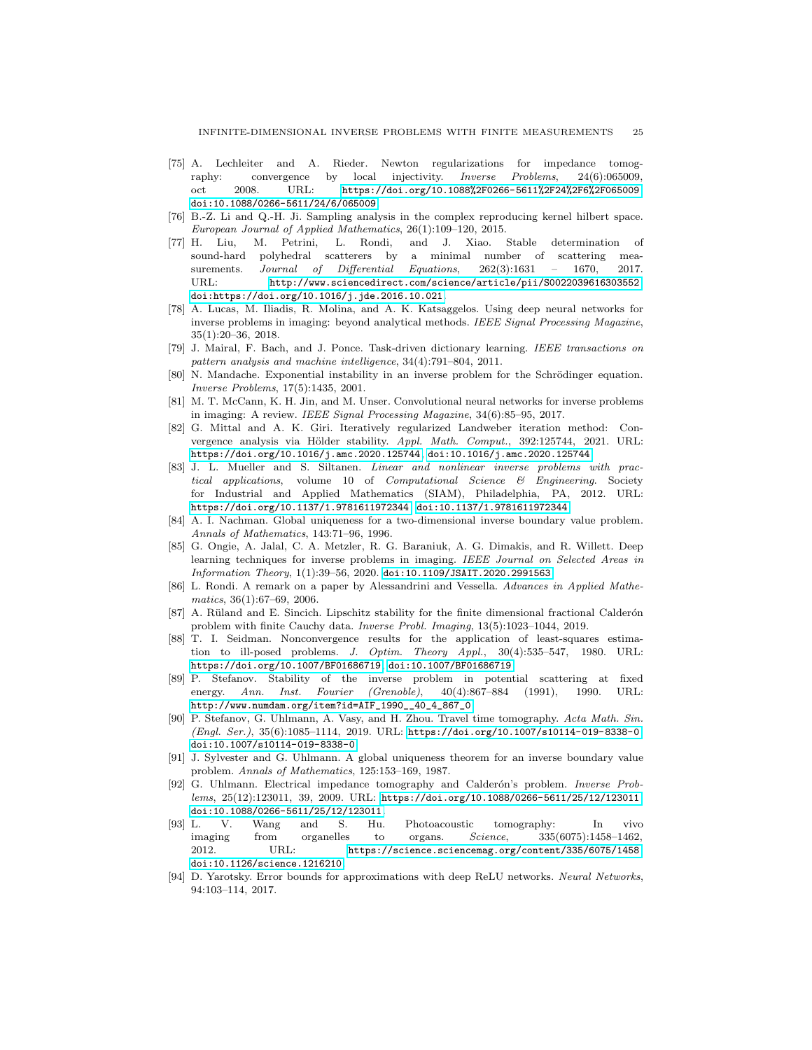- <span id="page-24-4"></span>[75] A. Lechleiter and A. Rieder. Newton regularizations for impedance tomography: convergence by local injectivity. Inverse Problems, 24(6):065009, oct 2008. URL: <https://doi.org/10.1088%2F0266-5611%2F24%2F6%2F065009>, [doi:10.1088/0266-5611/24/6/065009](http://dx.doi.org/10.1088/0266-5611/24/6/065009).
- <span id="page-24-19"></span>[76] B.-Z. Li and Q.-H. Ji. Sampling analysis in the complex reproducing kernel hilbert space. European Journal of Applied Mathematics, 26(1):109–120, 2015.
- <span id="page-24-6"></span>[77] H. Liu, M. Petrini, L. Rondi, and J. Xiao. Stable determination of sound-hard polyhedral scatterers by a minimal number of scattering measurements. Journal of Differential Equations, 262(3):1631 – 1670, 2017. URL: <http://www.sciencedirect.com/science/article/pii/S0022039616303552>, [doi:https://doi.org/10.1016/j.jde.2016.10.021](http://dx.doi.org/https://doi.org/10.1016/j.jde.2016.10.021).
- <span id="page-24-7"></span>[78] A. Lucas, M. Iliadis, R. Molina, and A. K. Katsaggelos. Using deep neural networks for inverse problems in imaging: beyond analytical methods. IEEE Signal Processing Magazine, 35(1):20–36, 2018.
- <span id="page-24-10"></span>[79] J. Mairal, F. Bach, and J. Ponce. Task-driven dictionary learning. IEEE transactions on pattern analysis and machine intelligence, 34(4):791–804, 2011.
- <span id="page-24-3"></span>[80] N. Mandache. Exponential instability in an inverse problem for the Schrödinger equation. Inverse Problems, 17(5):1435, 2001.
- <span id="page-24-8"></span>[81] M. T. McCann, K. H. Jin, and M. Unser. Convolutional neural networks for inverse problems in imaging: A review. IEEE Signal Processing Magazine, 34(6):85–95, 2017.
- <span id="page-24-14"></span>[82] G. Mittal and A. K. Giri. Iteratively regularized Landweber iteration method: Convergence analysis via Hölder stability.  $Appl. Math. Comput., 392:125744, 2021. URL:$ <https://doi.org/10.1016/j.amc.2020.125744>, [doi:10.1016/j.amc.2020.125744](http://dx.doi.org/10.1016/j.amc.2020.125744).
- <span id="page-24-0"></span>[83] J. L. Mueller and S. Siltanen. Linear and nonlinear inverse problems with practical applications, volume 10 of Computational Science & Engineering. Society for Industrial and Applied Mathematics (SIAM), Philadelphia, PA, 2012. URL: <https://doi.org/10.1137/1.9781611972344>, [doi:10.1137/1.9781611972344](http://dx.doi.org/10.1137/1.9781611972344).
- <span id="page-24-16"></span>[84] A. I. Nachman. Global uniqueness for a two-dimensional inverse boundary value problem. Annals of Mathematics, 143:71–96, 1996.
- <span id="page-24-9"></span>[85] G. Ongie, A. Jalal, C. A. Metzler, R. G. Baraniuk, A. G. Dimakis, and R. Willett. Deep learning techniques for inverse problems in imaging. IEEE Journal on Selected Areas in  $Information Theory, 1(1):39–56, 2020. \text{ doi:}11.109/JSAIT.2020.2991563.$
- <span id="page-24-12"></span>[86] L. Rondi. A remark on a paper by Alessandrini and Vessella. Advances in Applied Mathematics, 36(1):67–69, 2006.
- <span id="page-24-5"></span>[87] A. Rüland and E. Sincich. Lipschitz stability for the finite dimensional fractional Calderón problem with finite Cauchy data. Inverse Probl. Imaging, 13(5):1023–1044, 2019.
- <span id="page-24-13"></span>[88] T. I. Seidman. Nonconvergence results for the application of least-squares estimation to ill-posed problems. J. Optim. Theory Appl., 30(4):535–547, 1980. URL: <https://doi.org/10.1007/BF01686719>, [doi:10.1007/BF01686719](http://dx.doi.org/10.1007/BF01686719).
- <span id="page-24-18"></span>[89] P. Stefanov. Stability of the inverse problem in potential scattering at fixed energy. Ann. Inst. Fourier (Grenoble), 40(4):867–884 (1991), 1990. URL: [http://www.numdam.org/item?id=AIF\\_1990\\_\\_40\\_4\\_867\\_0](http://www.numdam.org/item?id=AIF_1990__40_4_867_0).
- <span id="page-24-2"></span>[90] P. Stefanov, G. Uhlmann, A. Vasy, and H. Zhou. Travel time tomography. Acta Math. Sin. (Engl. Ser.), 35(6):1085–1114, 2019. URL: <https://doi.org/10.1007/s10114-019-8338-0>, [doi:10.1007/s10114-019-8338-0](http://dx.doi.org/10.1007/s10114-019-8338-0).
- <span id="page-24-17"></span>[91] J. Sylvester and G. Uhlmann. A global uniqueness theorem for an inverse boundary value problem. Annals of Mathematics, 125:153–169, 1987.
- <span id="page-24-15"></span>[92] G. Uhlmann. Electrical impedance tomography and Calderón's problem. Inverse Problems, 25(12):123011, 39, 2009. URL: <https://doi.org/10.1088/0266-5611/25/12/123011>, [doi:10.1088/0266-5611/25/12/123011](http://dx.doi.org/10.1088/0266-5611/25/12/123011).
- <span id="page-24-1"></span>[93] L. V. Wang and S. Hu. Photoacoustic tomography: In vivo imaging from organelles to organs. Science, 335(6075):1458–1462, 2012. URL: <https://science.sciencemag.org/content/335/6075/1458>, [doi:10.1126/science.1216210](http://dx.doi.org/10.1126/science.1216210).
- <span id="page-24-11"></span>[94] D. Yarotsky. Error bounds for approximations with deep ReLU networks. Neural Networks, 94:103–114, 2017.